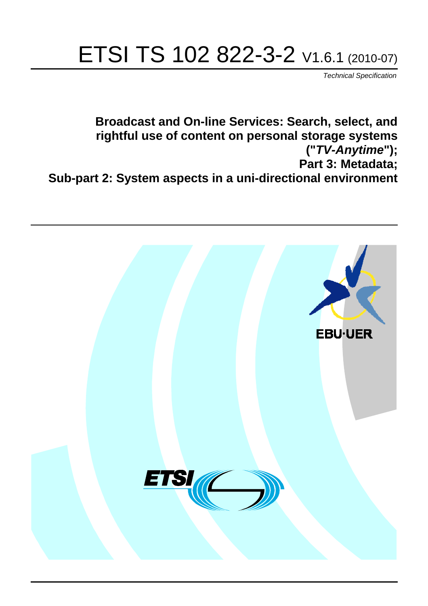# ETSI TS 102 822-3-2 V1.6.1 (2010-07)

*Technical Specification*

**Broadcast and On-line Services: Search, select, and rightful use of content on personal storage systems ("***TV-Anytime***"); Part 3: Metadata; Sub-part 2: System aspects in a uni-directional environment**

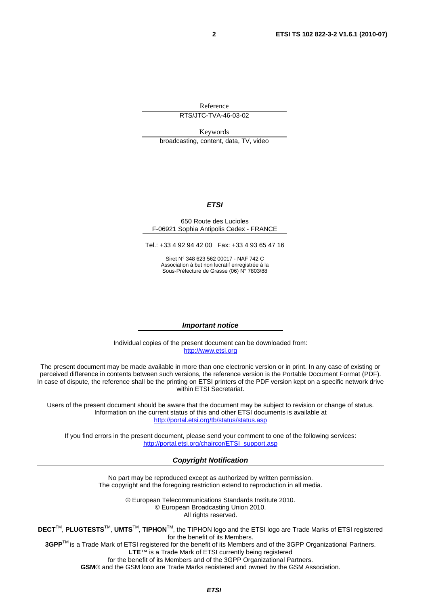Reference

RTS/JTC-TVA-46-03-02

Keywords broadcasting, content, data, TV, video

#### *ETSI*

#### 650 Route des Lucioles F-06921 Sophia Antipolis Cedex - FRANCE

Tel.: +33 4 92 94 42 00 Fax: +33 4 93 65 47 16

Siret N° 348 623 562 00017 - NAF 742 C Association à but non lucratif enregistrée à la Sous-Préfecture de Grasse (06) N° 7803/88

#### *Important notice*

Individual copies of the present document can be downloaded from: [http://www.etsi.org](http://www.etsi.org/)

The present document may be made available in more than one electronic version or in print. In any case of existing or perceived difference in contents between such versions, the reference version is the Portable Document Format (PDF). In case of dispute, the reference shall be the printing on ETSI printers of the PDF version kept on a specific network drive within ETSI Secretariat.

Users of the present document should be aware that the document may be subject to revision or change of status. Information on the current status of this and other ETSI documents is available at <http://portal.etsi.org/tb/status/status.asp>

If you find errors in the present document, please send your comment to one of the following services: [http://portal.etsi.org/chaircor/ETSI\\_support.asp](http://portal.etsi.org/chaircor/ETSI_support.asp)

#### *Copyright Notification*

No part may be reproduced except as authorized by written permission. The copyright and the foregoing restriction extend to reproduction in all media.

> © European Telecommunications Standards Institute 2010. © European Broadcasting Union 2010. All rights reserved.

**DECT**TM, **PLUGTESTS**TM, **UMTS**TM, **TIPHON**TM, the TIPHON logo and the ETSI logo are Trade Marks of ETSI registered for the benefit of its Members. **3GPP**TM is a Trade Mark of ETSI registered for the benefit of its Members and of the 3GPP Organizational Partners.

**LTE**™ is a Trade Mark of ETSI currently being registered

for the benefit of its Members and of the 3GPP Organizational Partners.

**GSM**® and the GSM logo are Trade Marks registered and owned by the GSM Association.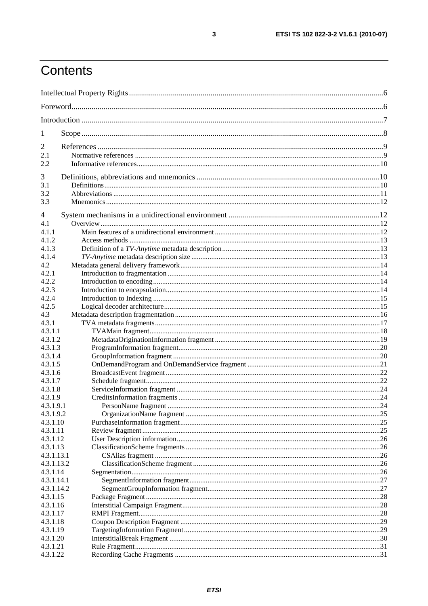# Contents

| 1                     |  |  |
|-----------------------|--|--|
| $\overline{2}$        |  |  |
| 2.1                   |  |  |
| 2.2                   |  |  |
| 3                     |  |  |
| 3.1                   |  |  |
| 3.2                   |  |  |
| 3.3                   |  |  |
|                       |  |  |
| 4<br>4.1              |  |  |
| 4.1.1                 |  |  |
| 4.1.2                 |  |  |
| 4.1.3                 |  |  |
| 4.1.4                 |  |  |
| 4.2                   |  |  |
| 4.2.1                 |  |  |
| 4.2.2                 |  |  |
| 4.2.3                 |  |  |
| 4.2.4                 |  |  |
| 4.2.5                 |  |  |
| 4.3                   |  |  |
| 4.3.1                 |  |  |
| 4.3.1.1               |  |  |
| 4.3.1.2               |  |  |
| 4.3.1.3               |  |  |
| 4.3.1.4               |  |  |
| 4.3.1.5               |  |  |
| 4.3.1.6               |  |  |
| 4.3.1.7               |  |  |
| 4.3.1.8               |  |  |
| 4.3.1.9               |  |  |
| 4.3.1.9.1             |  |  |
| 4.3.1.9.2<br>4.3.1.10 |  |  |
| 4.3.1.11              |  |  |
| 4.3.1.12              |  |  |
| 4.3.1.13              |  |  |
| 4.3.1.13.1            |  |  |
| 4.3.1.13.2            |  |  |
| 4.3.1.14              |  |  |
| 4.3.1.14.1            |  |  |
| 4.3.1.14.2            |  |  |
| 4.3.1.15              |  |  |
| 4.3.1.16              |  |  |
| 4.3.1.17              |  |  |
| 4.3.1.18              |  |  |
| 4.3.1.19              |  |  |
| 4.3.1.20              |  |  |
| 4.3.1.21              |  |  |
| 4.3.1.22              |  |  |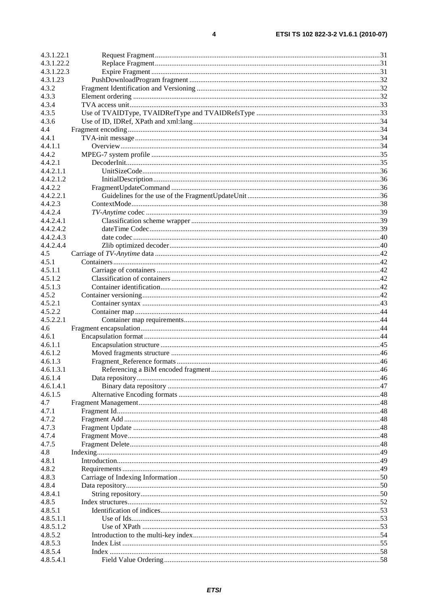| 4.3.1.22.1 |  |
|------------|--|
| 4.3.1.22.2 |  |
| 4.3.1.22.3 |  |
| 4.3.1.23   |  |
| 4.3.2      |  |
| 4.3.3      |  |
| 4.3.4      |  |
| 4.3.5      |  |
| 4.3.6      |  |
| 4.4        |  |
| 4.4.1      |  |
| 4.4.1.1    |  |
| 4.4.2      |  |
| 4.4.2.1    |  |
| 4.4.2.1.1  |  |
| 4.4.2.1.2  |  |
| 4.4.2.2    |  |
| 4.4.2.2.1  |  |
| 4.4.2.3    |  |
| 4.4.2.4    |  |
| 4.4.2.4.1  |  |
| 4.4.2.4.2  |  |
| 4.4.2.4.3  |  |
| 4.4.2.4.4  |  |
| 4.5        |  |
| 4.5.1      |  |
| 4.5.1.1    |  |
| 4.5.1.2    |  |
| 4.5.1.3    |  |
| 4.5.2      |  |
| 4.5.2.1    |  |
| 4.5.2.2    |  |
| 4.5.2.2.1  |  |
| 4.6        |  |
| 4.6.1      |  |
| 4.6.1.1    |  |
| 4.6.1.2    |  |
| 4.6.1.3    |  |
| 4.6.1.3.1  |  |
| 4.6.1.4    |  |
| 4.6.1.4.1  |  |
| 4.6.1.5    |  |
| 4.7        |  |
| 4.7.1      |  |
|            |  |
| 4.7.2      |  |
| 4.7.3      |  |
| 4.7.4      |  |
| 4.7.5      |  |
| 4.8        |  |
| 4.8.1      |  |
| 4.8.2      |  |
| 4.8.3      |  |
| 4.8.4      |  |
| 4.8.4.1    |  |
| 4.8.5      |  |
| 4.8.5.1    |  |
| 4.8.5.1.1  |  |
| 4.8.5.1.2  |  |
| 4.8.5.2    |  |
| 4.8.5.3    |  |
| 4.8.5.4    |  |
| 4.8.5.4.1  |  |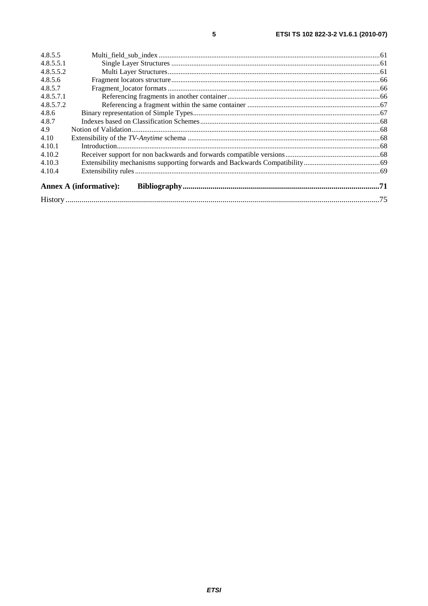| 4.8.5.5   |                               |  |
|-----------|-------------------------------|--|
| 4.8.5.5.1 |                               |  |
| 4.8.5.5.2 |                               |  |
| 4.8.5.6   |                               |  |
| 4.8.5.7   |                               |  |
| 4.8.5.7.1 |                               |  |
| 4.8.5.7.2 |                               |  |
| 4.8.6     |                               |  |
| 4.8.7     |                               |  |
| 4.9       |                               |  |
| 4.10      |                               |  |
| 4.10.1    |                               |  |
| 4.10.2    |                               |  |
| 4.10.3    |                               |  |
| 4.10.4    |                               |  |
|           |                               |  |
|           | <b>Annex A (informative):</b> |  |
|           |                               |  |
|           |                               |  |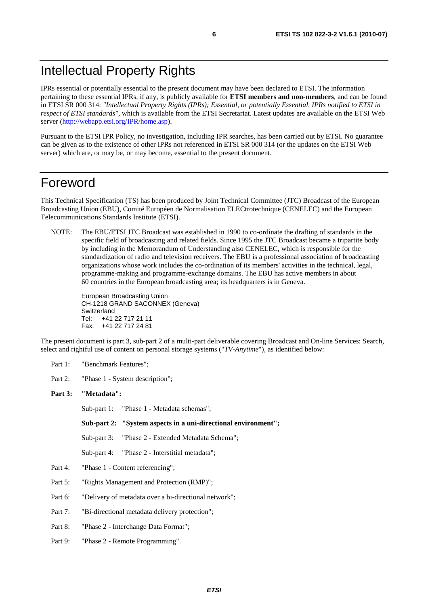# Intellectual Property Rights

IPRs essential or potentially essential to the present document may have been declared to ETSI. The information pertaining to these essential IPRs, if any, is publicly available for **ETSI members and non-members**, and can be found in ETSI SR 000 314: *"Intellectual Property Rights (IPRs); Essential, or potentially Essential, IPRs notified to ETSI in respect of ETSI standards"*, which is available from the ETSI Secretariat. Latest updates are available on the ETSI Web server [\(http://webapp.etsi.org/IPR/home.asp\)](http://webapp.etsi.org/IPR/home.asp).

Pursuant to the ETSI IPR Policy, no investigation, including IPR searches, has been carried out by ETSI. No guarantee can be given as to the existence of other IPRs not referenced in ETSI SR 000 314 (or the updates on the ETSI Web server) which are, or may be, or may become, essential to the present document.

# Foreword

This Technical Specification (TS) has been produced by Joint Technical Committee (JTC) Broadcast of the European Broadcasting Union (EBU), Comité Européen de Normalisation ELECtrotechnique (CENELEC) and the European Telecommunications Standards Institute (ETSI).

NOTE: The EBU/ETSI JTC Broadcast was established in 1990 to co-ordinate the drafting of standards in the specific field of broadcasting and related fields. Since 1995 the JTC Broadcast became a tripartite body by including in the Memorandum of Understanding also CENELEC, which is responsible for the standardization of radio and television receivers. The EBU is a professional association of broadcasting organizations whose work includes the co-ordination of its members' activities in the technical, legal, programme-making and programme-exchange domains. The EBU has active members in about 60 countries in the European broadcasting area; its headquarters is in Geneva.

European Broadcasting Union CH-1218 GRAND SACONNEX (Geneva) Switzerland Tel: +41 22 717 21 11 Fax: +41 22 717 24 81

The present document is part 3, sub-part 2 of a multi-part deliverable covering Broadcast and On-line Services: Search, select and rightful use of content on personal storage systems ("*TV-Anytime*"), as identified below:

- Part 1: "Benchmark Features";
- Part 2: "Phase 1 System description";

#### **Part 3: "Metadata":**

Sub-part 1: "Phase 1 - Metadata schemas";

 **Sub-part 2: "System aspects in a uni-directional environment";** 

Sub-part 3: "Phase 2 - Extended Metadata Schema";

Sub-part 4: "Phase 2 - Interstitial metadata";

- Part 4: "Phase 1 Content referencing";
- Part 5: "Rights Management and Protection (RMP)";
- Part 6: "Delivery of metadata over a bi-directional network";
- Part 7: "Bi-directional metadata delivery protection";
- Part 8: "Phase 2 Interchange Data Format";
- Part 9: "Phase 2 Remote Programming".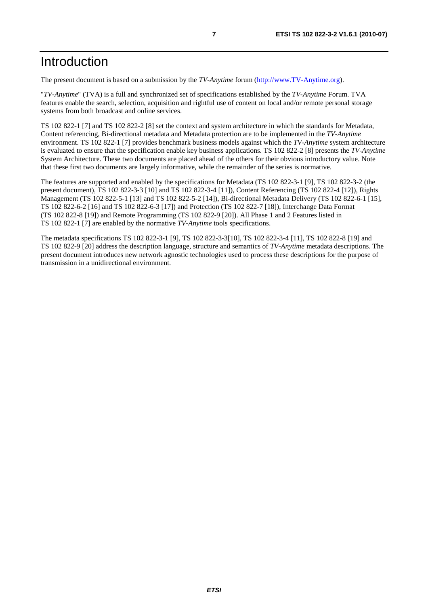The present document is based on a submission by the *TV-Anytime* forum [\(http://www.TV-Anytime.org](http://www.tv-anytime.org/)).

"*TV-Anytime*" (TVA) is a full and synchronized set of specifications established by the *TV-Anytime* Forum. TVA features enable the search, selection, acquisition and rightful use of content on local and/or remote personal storage systems from both broadcast and online services.

TS 102 822-1 [7] and TS 102 822-2 [8] set the context and system architecture in which the standards for Metadata, Content referencing, Bi-directional metadata and Metadata protection are to be implemented in the *TV-Anytime* environment. TS 102 822-1 [7] provides benchmark business models against which the *TV-Anytime* system architecture is evaluated to ensure that the specification enable key business applications. TS 102 822-2 [8] presents the *TV-Anytime* System Architecture. These two documents are placed ahead of the others for their obvious introductory value. Note that these first two documents are largely informative, while the remainder of the series is normative.

The features are supported and enabled by the specifications for Metadata (TS 102 822-3-1 [9], TS 102 822-3-2 (the present document), TS 102 822-3-3 [10] and TS 102 822-3-4 [11]), Content Referencing (TS 102 822-4 [12]), Rights Management (TS 102 822-5-1 [13] and TS 102 822-5-2 [14]), Bi-directional Metadata Delivery (TS 102 822-6-1 [15], TS 102 822-6-2 [16] and TS 102 822-6-3 [17]) and Protection (TS 102 822-7 [18]), Interchange Data Format (TS 102 822-8 [19]) and Remote Programming (TS 102 822-9 [20]). All Phase 1 and 2 Features listed in TS 102 822-1 [7] are enabled by the normative *TV-Anytime* tools specifications.

The metadata specifications TS 102 822-3-1 [9], TS 102 822-3-3[10], TS 102 822-3-4 [11], TS 102 822-8 [19] and TS 102 822-9 [20] address the description language, structure and semantics of *TV-Anytime* metadata descriptions. The present document introduces new network agnostic technologies used to process these descriptions for the purpose of transmission in a unidirectional environment.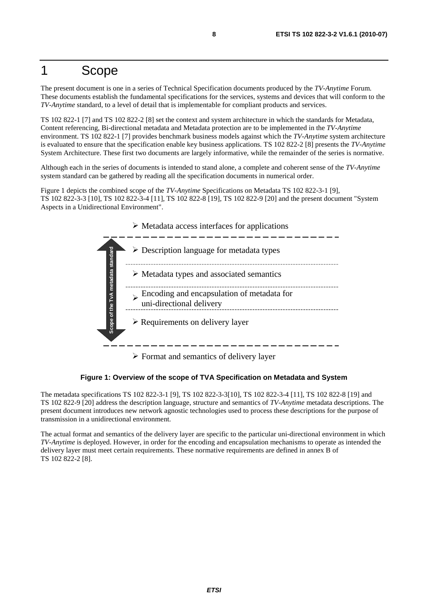# 1 Scope

The present document is one in a series of Technical Specification documents produced by the *TV-Anytime* Forum. These documents establish the fundamental specifications for the services, systems and devices that will conform to the *TV-Anytime* standard, to a level of detail that is implementable for compliant products and services.

TS 102 822-1 [7] and TS 102 822-2 [8] set the context and system architecture in which the standards for Metadata, Content referencing, Bi-directional metadata and Metadata protection are to be implemented in the *TV-Anytime* environment. TS 102 822-1 [7] provides benchmark business models against which the *TV-Anytime* system architecture is evaluated to ensure that the specification enable key business applications. TS 102 822-2 [8] presents the *TV-Anytime* System Architecture. These first two documents are largely informative, while the remainder of the series is normative.

Although each in the series of documents is intended to stand alone, a complete and coherent sense of the *TV-Anytime* system standard can be gathered by reading all the specification documents in numerical order.

Figure 1 depicts the combined scope of the *TV-Anytime* Specifications on Metadata TS 102 822-3-1 [9], TS 102 822-3-3 [10], TS 102 822-3-4 [11], TS 102 822-8 [19], TS 102 822-9 [20] and the present document "System Aspects in a Unidirectional Environment".



 $\triangleright$  Format and semantics of delivery layer

**Figure 1: Overview of the scope of TVA Specification on Metadata and System** 

The metadata specifications TS 102 822-3-1 [9], TS 102 822-3-3[10], TS 102 822-3-4 [11], TS 102 822-8 [19] and TS 102 822-9 [20] address the description language, structure and semantics of *TV-Anytime* metadata descriptions. The present document introduces new network agnostic technologies used to process these descriptions for the purpose of transmission in a unidirectional environment.

The actual format and semantics of the delivery layer are specific to the particular uni-directional environment in which *TV-Anytime* is deployed. However, in order for the encoding and encapsulation mechanisms to operate as intended the delivery layer must meet certain requirements. These normative requirements are defined in annex B of TS 102 822-2 [8].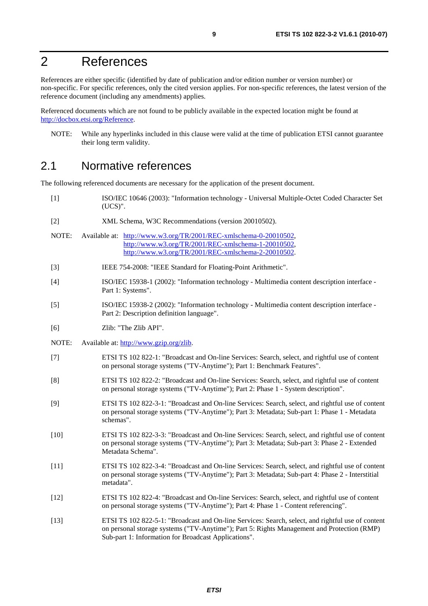# 2 References

References are either specific (identified by date of publication and/or edition number or version number) or non-specific. For specific references, only the cited version applies. For non-specific references, the latest version of the reference document (including any amendments) applies.

Referenced documents which are not found to be publicly available in the expected location might be found at [http://docbox.etsi.org/Reference.](http://docbox.etsi.org/Reference)

NOTE: While any hyperlinks included in this clause were valid at the time of publication ETSI cannot guarantee their long term validity.

# 2.1 Normative references

The following referenced documents are necessary for the application of the present document.

- [1] ISO/IEC 10646 (2003): "Information technology Universal Multiple-Octet Coded Character Set (UCS)".
- [2] XML Schema, W3C Recommendations (version 20010502).
- NOTE: Available at: [http://www.w3.org/TR/2001/REC-xmlschema-0-20010502,](http://www.w3.org/TR/2001/REC-xmlschema-0-20010502) [http://www.w3.org/TR/2001/REC-xmlschema-1-20010502,](http://www.w3.org/TR/2001/REC-xmlschema-1-20010502) [http://www.w3.org/TR/2001/REC-xmlschema-2-20010502.](http://www.w3.org/XML/Schema)
- [3] IEEE 754-2008: "IEEE Standard for Floating-Point Arithmetic".
- [4] ISO/IEC 15938-1 (2002): "Information technology Multimedia content description interface Part 1: Systems".
- [5] ISO/IEC 15938-2 (2002): "Information technology Multimedia content description interface Part 2: Description definition language".
- [6] Zlib: "The Zlib API".
- NOTE: Available at:<http://www.gzip.org/zlib>.
- [7] ETSI TS 102 822-1: "Broadcast and On-line Services: Search, select, and rightful use of content on personal storage systems ("TV-Anytime"); Part 1: Benchmark Features".
- [8] ETSI TS 102 822-2: "Broadcast and On-line Services: Search, select, and rightful use of content on personal storage systems ("TV-Anytime"); Part 2: Phase 1 - System description".
- [9] ETSI TS 102 822-3-1: "Broadcast and On-line Services: Search, select, and rightful use of content on personal storage systems ("TV-Anytime"); Part 3: Metadata; Sub-part 1: Phase 1 - Metadata schemas".
- [10] ETSI TS 102 822-3-3: "Broadcast and On-line Services: Search, select, and rightful use of content on personal storage systems ("TV-Anytime"); Part 3: Metadata; Sub-part 3: Phase 2 - Extended Metadata Schema".
- [11] ETSI TS 102 822-3-4: "Broadcast and On-line Services: Search, select, and rightful use of content on personal storage systems ("TV-Anytime"); Part 3: Metadata; Sub-part 4: Phase 2 - Interstitial metadata".
- [12] ETSI TS 102 822-4: "Broadcast and On-line Services: Search, select, and rightful use of content on personal storage systems ("TV-Anytime"); Part 4: Phase 1 - Content referencing".
- [13] ETSI TS 102 822-5-1: "Broadcast and On-line Services: Search, select, and rightful use of content on personal storage systems ("TV-Anytime"); Part 5: Rights Management and Protection (RMP) Sub-part 1: Information for Broadcast Applications".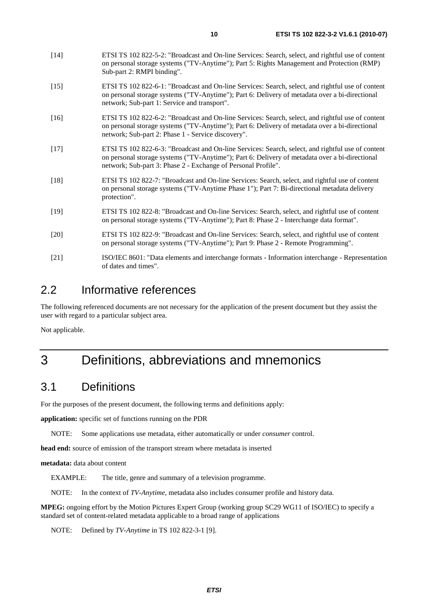- [14] ETSI TS 102 822-5-2: "Broadcast and On-line Services: Search, select, and rightful use of content on personal storage systems ("TV-Anytime"); Part 5: Rights Management and Protection (RMP) Sub-part 2: RMPI binding".
- [15] ETSI TS 102 822-6-1: "Broadcast and On-line Services: Search, select, and rightful use of content on personal storage systems ("TV-Anytime"); Part 6: Delivery of metadata over a bi-directional network; Sub-part 1: Service and transport".
- [16] ETSI TS 102 822-6-2: "Broadcast and On-line Services: Search, select, and rightful use of content on personal storage systems ("TV-Anytime"); Part 6: Delivery of metadata over a bi-directional network; Sub-part 2: Phase 1 - Service discovery".
- [17] ETSI TS 102 822-6-3: "Broadcast and On-line Services: Search, select, and rightful use of content on personal storage systems ("TV-Anytime"); Part 6: Delivery of metadata over a bi-directional network; Sub-part 3: Phase 2 - Exchange of Personal Profile".
- [18] ETSI TS 102 822-7: "Broadcast and On-line Services: Search, select, and rightful use of content on personal storage systems ("TV-Anytime Phase 1"); Part 7: Bi-directional metadata delivery protection".
- [19] ETSI TS 102 822-8: "Broadcast and On-line Services: Search, select, and rightful use of content on personal storage systems ("TV-Anytime"); Part 8: Phase 2 - Interchange data format".
- [20] ETSI TS 102 822-9: "Broadcast and On-line Services: Search, select, and rightful use of content on personal storage systems ("TV-Anytime"); Part 9: Phase 2 - Remote Programming".
- [21] ISO/IEC 8601: "Data elements and interchange formats Information interchange Representation of dates and times".

# 2.2 Informative references

The following referenced documents are not necessary for the application of the present document but they assist the user with regard to a particular subject area.

Not applicable.

# 3 Definitions, abbreviations and mnemonics

# 3.1 Definitions

For the purposes of the present document, the following terms and definitions apply:

**application:** specific set of functions running on the PDR

NOTE: Some applications use metadata, either automatically or under *consumer* control.

**head end:** source of emission of the transport stream where metadata is inserted

**metadata:** data about content

EXAMPLE: The title, genre and summary of a television programme.

NOTE: In the context of *TV-Anytime*, metadata also includes consumer profile and history data.

**MPEG:** ongoing effort by the Motion Pictures Expert Group (working group SC29 WG11 of ISO/IEC) to specify a standard set of content-related metadata applicable to a broad range of applications

NOTE: Defined by *TV-Anytime* in TS 102 822-3-1 [9].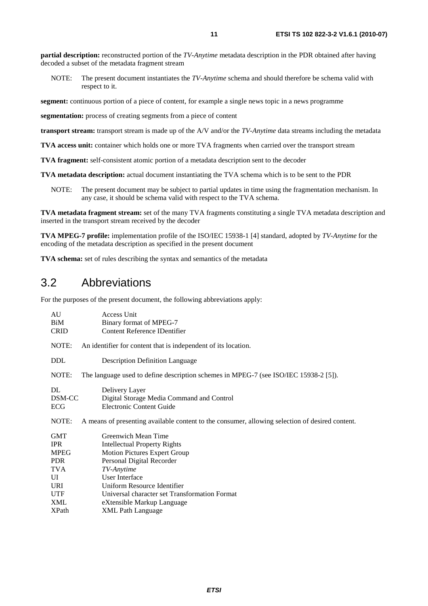**partial description:** reconstructed portion of the *TV-Anytime* metadata description in the PDR obtained after having decoded a subset of the metadata fragment stream

NOTE: The present document instantiates the *TV-Anytime* schema and should therefore be schema valid with respect to it.

**segment:** continuous portion of a piece of content, for example a single news topic in a news programme

**segmentation:** process of creating segments from a piece of content

**transport stream:** transport stream is made up of the A/V and/or the *TV-Anytime* data streams including the metadata

**TVA access unit:** container which holds one or more TVA fragments when carried over the transport stream

**TVA fragment:** self-consistent atomic portion of a metadata description sent to the decoder

**TVA metadata description:** actual document instantiating the TVA schema which is to be sent to the PDR

NOTE: The present document may be subject to partial updates in time using the fragmentation mechanism. In any case, it should be schema valid with respect to the TVA schema.

**TVA metadata fragment stream:** set of the many TVA fragments constituting a single TVA metadata description and inserted in the transport stream received by the decoder

**TVA MPEG-7 profile:** implementation profile of the ISO/IEC 15938-1 [4] standard, adopted by *TV-Anytime* for the encoding of the metadata description as specified in the present document

**TVA schema:** set of rules describing the syntax and semantics of the metadata

### 3.2 Abbreviations

For the purposes of the present document, the following abbreviations apply:

| AU<br>BiM<br><b>CRID</b>                                                                                              | Access Unit<br>Binary format of MPEG-7<br><b>Content Reference IDentifier</b>                                                                                                                                                                                                                                   |
|-----------------------------------------------------------------------------------------------------------------------|-----------------------------------------------------------------------------------------------------------------------------------------------------------------------------------------------------------------------------------------------------------------------------------------------------------------|
| NOTE:                                                                                                                 | An identifier for content that is independent of its location.                                                                                                                                                                                                                                                  |
| <b>DDL</b>                                                                                                            | <b>Description Definition Language</b>                                                                                                                                                                                                                                                                          |
| NOTE:                                                                                                                 | The language used to define description schemes in MPEG-7 (see ISO/IEC 15938-2 [5]).                                                                                                                                                                                                                            |
| DL<br>DSM-CC<br>ECG                                                                                                   | Delivery Layer<br>Digital Storage Media Command and Control<br><b>Electronic Content Guide</b>                                                                                                                                                                                                                  |
| NOTE:                                                                                                                 | A means of presenting available content to the consumer, allowing selection of desired content.                                                                                                                                                                                                                 |
| <b>GMT</b><br><b>IPR</b><br><b>MPEG</b><br><b>PDR</b><br><b>TVA</b><br>UI<br>URI<br><b>UTF</b><br>XML<br><b>XPath</b> | Greenwich Mean Time<br><b>Intellectual Property Rights</b><br><b>Motion Pictures Expert Group</b><br>Personal Digital Recorder<br>TV-Anytime<br><b>User Interface</b><br>Uniform Resource Identifier<br>Universal character set Transformation Format<br>eXtensible Markup Language<br><b>XML Path Language</b> |
|                                                                                                                       |                                                                                                                                                                                                                                                                                                                 |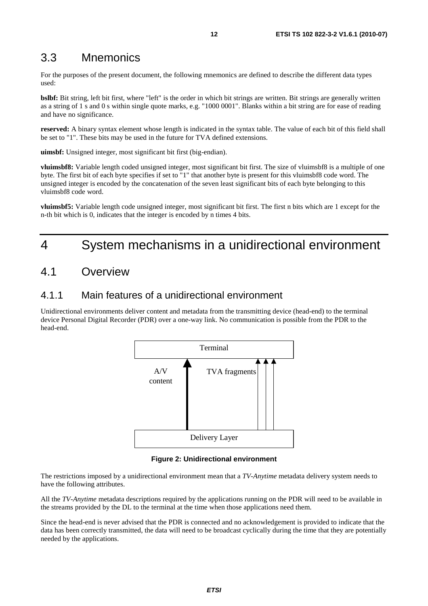# 3.3 Mnemonics

For the purposes of the present document, the following mnemonics are defined to describe the different data types used:

**bslbf:** Bit string, left bit first, where "left" is the order in which bit strings are written. Bit strings are generally written as a string of 1 s and 0 s within single quote marks, e.g. "1000 0001". Blanks within a bit string are for ease of reading and have no significance.

**reserved:** A binary syntax element whose length is indicated in the syntax table. The value of each bit of this field shall be set to "1". These bits may be used in the future for TVA defined extensions.

**uimsbf:** Unsigned integer, most significant bit first (big-endian).

**vluimsbf8:** Variable length coded unsigned integer, most significant bit first. The size of vluimsbf8 is a multiple of one byte. The first bit of each byte specifies if set to "1" that another byte is present for this vluimsbf8 code word. The unsigned integer is encoded by the concatenation of the seven least significant bits of each byte belonging to this vluimsbf8 code word.

**vluimsbf5:** Variable length code unsigned integer, most significant bit first. The first n bits which are 1 except for the n-th bit which is 0, indicates that the integer is encoded by n times 4 bits.

# 4 System mechanisms in a unidirectional environment

# 4.1 Overview

### 4.1.1 Main features of a unidirectional environment

Unidirectional environments deliver content and metadata from the transmitting device (head-end) to the terminal device Personal Digital Recorder (PDR) over a one-way link. No communication is possible from the PDR to the head-end.



**Figure 2: Unidirectional environment** 

The restrictions imposed by a unidirectional environment mean that a *TV-Anytime* metadata delivery system needs to have the following attributes.

All the *TV-Anytime* metadata descriptions required by the applications running on the PDR will need to be available in the streams provided by the DL to the terminal at the time when those applications need them.

Since the head-end is never advised that the PDR is connected and no acknowledgement is provided to indicate that the data has been correctly transmitted, the data will need to be broadcast cyclically during the time that they are potentially needed by the applications.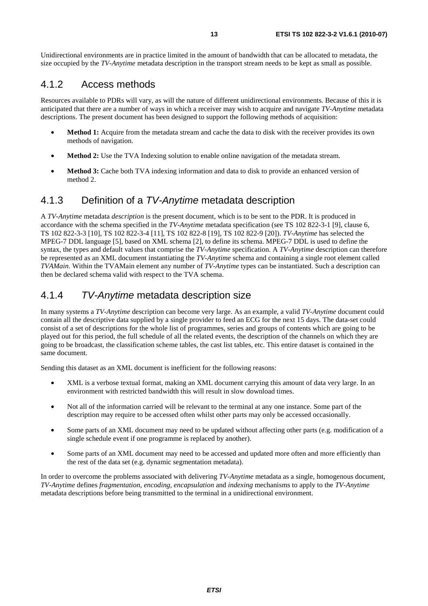Unidirectional environments are in practice limited in the amount of bandwidth that can be allocated to metadata, the size occupied by the *TV-Anytime* metadata description in the transport stream needs to be kept as small as possible.

### 4.1.2 Access methods

Resources available to PDRs will vary, as will the nature of different unidirectional environments. Because of this it is anticipated that there are a number of ways in which a receiver may wish to acquire and navigate *TV-Anytime* metadata descriptions. The present document has been designed to support the following methods of acquisition:

- **Method 1:** Acquire from the metadata stream and cache the data to disk with the receiver provides its own methods of navigation.
- **Method 2:** Use the TVA Indexing solution to enable online navigation of the metadata stream.
- **Method 3:** Cache both TVA indexing information and data to disk to provide an enhanced version of method 2.

### 4.1.3 Definition of a *TV-Anytime* metadata description

A *TV-Anytime* metadata *description* is the present document, which is to be sent to the PDR. It is produced in accordance with the schema specified in the *TV-Anytime* metadata specification (see TS 102 822-3-1 [9], clause 6, TS 102 822-3-3 [10], TS 102 822-3-4 [11], TS 102 822-8 [19], TS 102 822-9 [20]). *TV-Anytime* has selected the MPEG-7 DDL language [5], based on XML schema [2], to define its schema. MPEG-7 DDL is used to define the syntax, the types and default values that comprise the *TV-Anytime* specification. A *TV-Anytime* description can therefore be represented as an XML document instantiating the *TV-Anytime* schema and containing a single root element called *TVAMain*. Within the TVAMain element any number of *TV-Anytime* types can be instantiated. Such a description can then be declared schema valid with respect to the TVA schema.

### 4.1.4 *TV-Anytime* metadata description size

In many systems a *TV-Anytime* description can become very large. As an example, a valid *TV-Anytime* document could contain all the descriptive data supplied by a single provider to feed an ECG for the next 15 days. The data-set could consist of a set of descriptions for the whole list of programmes, series and groups of contents which are going to be played out for this period, the full schedule of all the related events, the description of the channels on which they are going to be broadcast, the classification scheme tables, the cast list tables, etc. This entire dataset is contained in the same document.

Sending this dataset as an XML document is inefficient for the following reasons:

- XML is a verbose textual format, making an XML document carrying this amount of data very large. In an environment with restricted bandwidth this will result in slow download times.
- Not all of the information carried will be relevant to the terminal at any one instance. Some part of the description may require to be accessed often whilst other parts may only be accessed occasionally.
- Some parts of an XML document may need to be updated without affecting other parts (e.g. modification of a single schedule event if one programme is replaced by another).
- Some parts of an XML document may need to be accessed and updated more often and more efficiently than the rest of the data set (e.g. dynamic segmentation metadata).

In order to overcome the problems associated with delivering *TV-Anytime* metadata as a single, homogenous document, *TV-Anytime* defines *fragmentation, encoding, encapsulation* and *indexing* mechanisms to apply to the *TV-Anytime* metadata descriptions before being transmitted to the terminal in a unidirectional environment.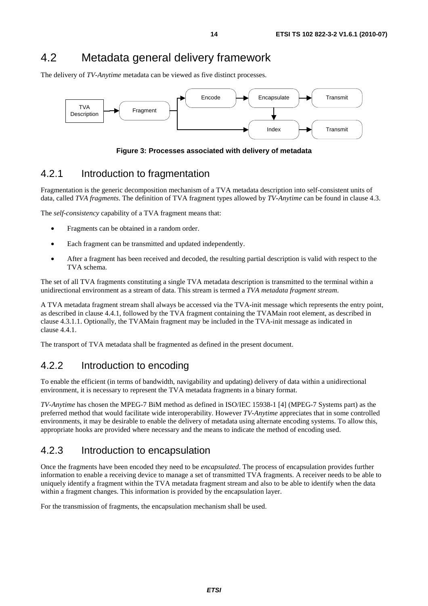# 4.2 Metadata general delivery framework

The delivery of *TV-Anytime* metadata can be viewed as five distinct processes.



**Figure 3: Processes associated with delivery of metadata** 

### 4.2.1 Introduction to fragmentation

Fragmentation is the generic decomposition mechanism of a TVA metadata description into self-consistent units of data, called *TVA fragments*. The definition of TVA fragment types allowed by *TV-Anytime* can be found in clause 4.3.

The *self-consistency* capability of a TVA fragment means that:

- Fragments can be obtained in a random order.
- Each fragment can be transmitted and updated independently.
- After a fragment has been received and decoded, the resulting partial description is valid with respect to the TVA schema.

The set of all TVA fragments constituting a single TVA metadata description is transmitted to the terminal within a unidirectional environment as a stream of data. This stream is termed a *TVA metadata fragment stream*.

A TVA metadata fragment stream shall always be accessed via the TVA-init message which represents the entry point, as described in clause 4.4.1, followed by the TVA fragment containing the TVAMain root element, as described in clause 4.3.1.1. Optionally, the TVAMain fragment may be included in the TVA-init message as indicated in clause 4.4.1.

The transport of TVA metadata shall be fragmented as defined in the present document.

### 4.2.2 Introduction to encoding

To enable the efficient (in terms of bandwidth, navigability and updating) delivery of data within a unidirectional environment, it is necessary to represent the TVA metadata fragments in a binary format.

*TV-Anytime* has chosen the MPEG-7 BiM method as defined in ISO/IEC 15938-1 [4] (MPEG-7 Systems part) as the preferred method that would facilitate wide interoperability. However *TV-Anytime* appreciates that in some controlled environments, it may be desirable to enable the delivery of metadata using alternate encoding systems. To allow this, appropriate hooks are provided where necessary and the means to indicate the method of encoding used.

### 4.2.3 Introduction to encapsulation

Once the fragments have been encoded they need to be *encapsulated*. The process of encapsulation provides further information to enable a receiving device to manage a set of transmitted TVA fragments. A receiver needs to be able to uniquely identify a fragment within the TVA metadata fragment stream and also to be able to identify when the data within a fragment changes. This information is provided by the encapsulation layer.

For the transmission of fragments, the encapsulation mechanism shall be used.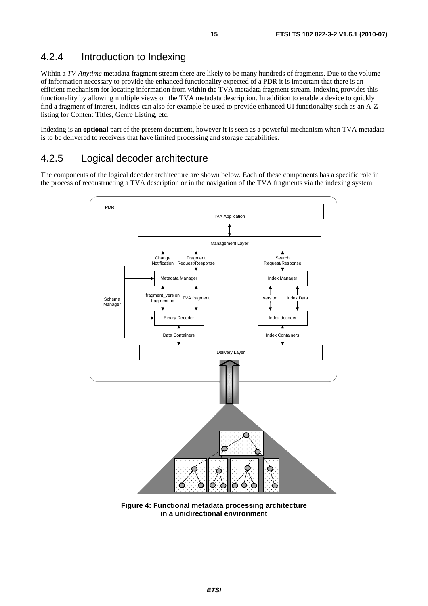### 4.2.4 Introduction to Indexing

Within a *TV-Anytime* metadata fragment stream there are likely to be many hundreds of fragments. Due to the volume of information necessary to provide the enhanced functionality expected of a PDR it is important that there is an efficient mechanism for locating information from within the TVA metadata fragment stream. Indexing provides this functionality by allowing multiple views on the TVA metadata description. In addition to enable a device to quickly find a fragment of interest, indices can also for example be used to provide enhanced UI functionality such as an A-Z listing for Content Titles, Genre Listing, etc.

Indexing is an **optional** part of the present document, however it is seen as a powerful mechanism when TVA metadata is to be delivered to receivers that have limited processing and storage capabilities.

### 4.2.5 Logical decoder architecture

The components of the logical decoder architecture are shown below. Each of these components has a specific role in the process of reconstructing a TVA description or in the navigation of the TVA fragments via the indexing system.



**Figure 4: Functional metadata processing architecture in a unidirectional environment**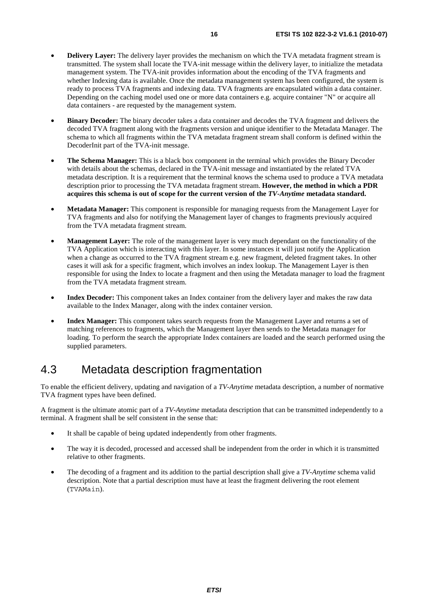- **Delivery Layer:** The delivery layer provides the mechanism on which the TVA metadata fragment stream is transmitted. The system shall locate the TVA-init message within the delivery layer, to initialize the metadata management system. The TVA-init provides information about the encoding of the TVA fragments and whether Indexing data is available. Once the metadata management system has been configured, the system is ready to process TVA fragments and indexing data. TVA fragments are encapsulated within a data container. Depending on the caching model used one or more data containers e.g. acquire container "N" or acquire all data containers - are requested by the management system.
- **Binary Decoder:** The binary decoder takes a data container and decodes the TVA fragment and delivers the decoded TVA fragment along with the fragments version and unique identifier to the Metadata Manager. The schema to which all fragments within the TVA metadata fragment stream shall conform is defined within the DecoderInit part of the TVA-init message.
- **The Schema Manager:** This is a black box component in the terminal which provides the Binary Decoder with details about the schemas, declared in the TVA-init message and instantiated by the related TVA metadata description. It is a requirement that the terminal knows the schema used to produce a TVA metadata description prior to processing the TVA metadata fragment stream. **However, the method in which a PDR acquires this schema is out of scope for the current version of the** *TV-Anytime* **metadata standard.**
- **Metadata Manager:** This component is responsible for managing requests from the Management Layer for TVA fragments and also for notifying the Management layer of changes to fragments previously acquired from the TVA metadata fragment stream.
- **Management Layer:** The role of the management layer is very much dependant on the functionality of the TVA Application which is interacting with this layer. In some instances it will just notify the Application when a change as occurred to the TVA fragment stream e.g. new fragment, deleted fragment takes. In other cases it will ask for a specific fragment, which involves an index lookup. The Management Layer is then responsible for using the Index to locate a fragment and then using the Metadata manager to load the fragment from the TVA metadata fragment stream.
- **Index Decoder:** This component takes an Index container from the delivery layer and makes the raw data available to the Index Manager, along with the index container version.
- **Index Manager:** This component takes search requests from the Management Layer and returns a set of matching references to fragments, which the Management layer then sends to the Metadata manager for loading. To perform the search the appropriate Index containers are loaded and the search performed using the supplied parameters.

# 4.3 Metadata description fragmentation

To enable the efficient delivery, updating and navigation of a *TV-Anytime* metadata description, a number of normative TVA fragment types have been defined.

A fragment is the ultimate atomic part of a *TV-Anytime* metadata description that can be transmitted independently to a terminal. A fragment shall be self consistent in the sense that:

- It shall be capable of being updated independently from other fragments.
- The way it is decoded, processed and accessed shall be independent from the order in which it is transmitted relative to other fragments.
- The decoding of a fragment and its addition to the partial description shall give a *TV-Anytime* schema valid description. Note that a partial description must have at least the fragment delivering the root element (TVAMain).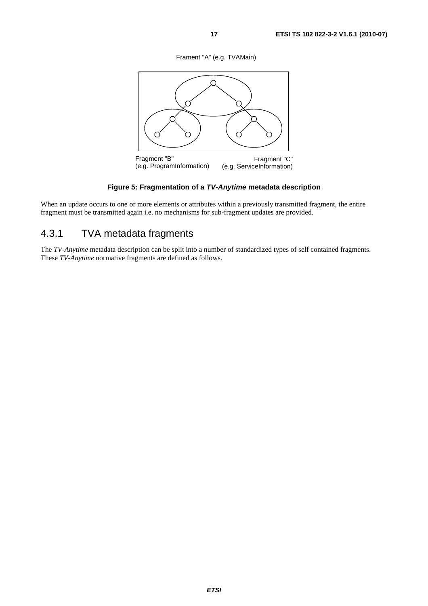Frament "A" (e.g. TVAMain)



### **Figure 5: Fragmentation of a** *TV-Anytime* **metadata description**

When an update occurs to one or more elements or attributes within a previously transmitted fragment, the entire fragment must be transmitted again i.e. no mechanisms for sub-fragment updates are provided.

# 4.3.1 TVA metadata fragments

The *TV-Anytime* metadata description can be split into a number of standardized types of self contained fragments. These *TV-Anytime* normative fragments are defined as follows.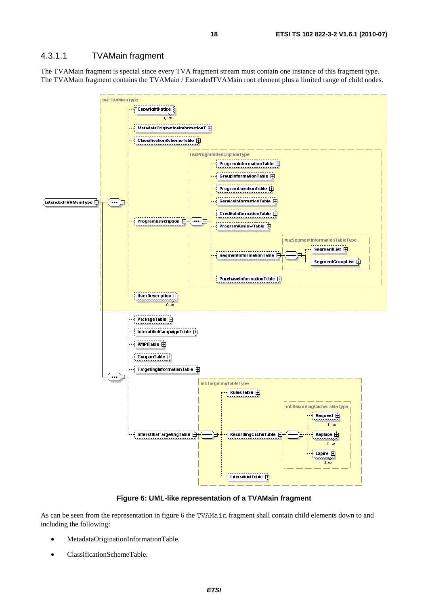### 4.3.1.1 TVAMain fragment

The TVAMain fragment is special since every TVA fragment stream must contain one instance of this fragment type. The TVAMain fragment contains the TVAMain / ExtendedTVAMain root element plus a limited range of child nodes.



**Figure 6: UML-like representation of a TVAMain fragment** 

As can be seen from the representation in figure 6 the TVAMain fragment shall contain child elements down to and including the following:

- MetadataOriginationInformationTable.
- ClassificationSchemeTable.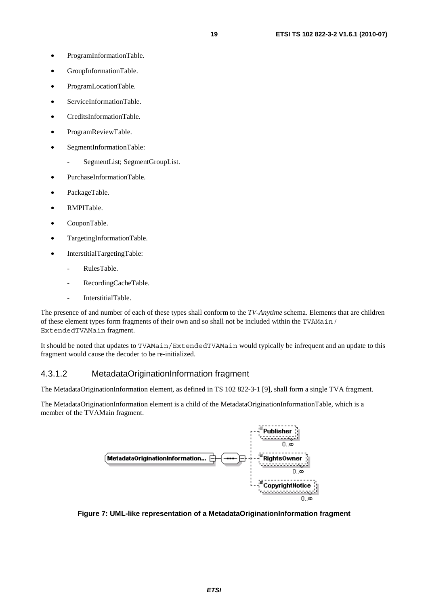- GroupInformationTable.
- ProgramLocationTable.
- ServiceInformationTable.
- CreditsInformationTable.
- ProgramReviewTable.
- SegmentInformationTable:
	- SegmentList; SegmentGroupList.
- PurchaseInformationTable.
- PackageTable.
- RMPITable.
- CouponTable.
- TargetingInformationTable.
- InterstitialTargetingTable:
	- RulesTable.
	- RecordingCacheTable.
	- InterstitialTable.

The presence of and number of each of these types shall conform to the *TV-Anytime* schema. Elements that are children of these element types form fragments of their own and so shall not be included within the TVAMain / ExtendedTVAMain fragment.

It should be noted that updates to TVAMain/ExtendedTVAMain would typically be infrequent and an update to this fragment would cause the decoder to be re-initialized.

### 4.3.1.2 MetadataOriginationInformation fragment

The MetadataOriginationInformation element, as defined in TS 102 822-3-1 [9], shall form a single TVA fragment.

The MetadataOriginationInformation element is a child of the MetadataOriginationInformationTable, which is a member of the TVAMain fragment.



**Figure 7: UML-like representation of a MetadataOriginationInformation fragment**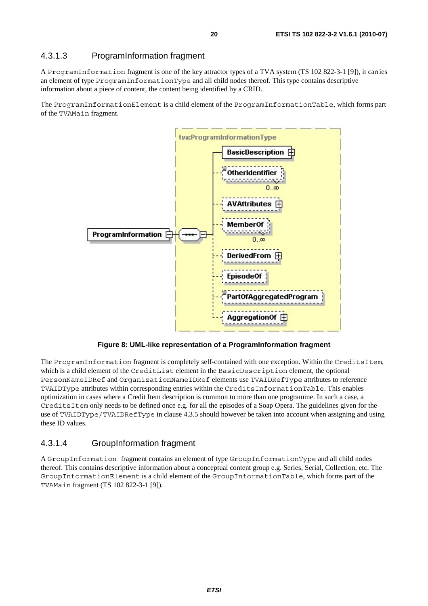### 4.3.1.3 ProgramInformation fragment

A ProgramInformation fragment is one of the key attractor types of a TVA system (TS 102 822-3-1 [9]), it carries an element of type ProgramInformationType and all child nodes thereof. This type contains descriptive information about a piece of content, the content being identified by a CRID.

The ProgramInformationElement is a child element of the ProgramInformationTable, which forms part of the TVAMain fragment.



**Figure 8: UML-like representation of a ProgramInformation fragment** 

The ProgramInformation fragment is completely self-contained with one exception. Within the CreditsItem, which is a child element of the CreditList element in the BasicDescription element, the optional PersonNameIDRef and OrganizationNameIDRef elements use TVAIDRefType attributes to reference TVAIDType attributes within corresponding entries within the CreditsInformationTable. This enables optimization in cases where a Credit Item description is common to more than one programme. In such a case, a CreditsItem only needs to be defined once e.g. for all the episodes of a Soap Opera. The guidelines given for the use of TVAIDType/TVAIDRefType in clause 4.3.5 should however be taken into account when assigning and using these ID values.

### 4.3.1.4 GroupInformation fragment

A GroupInformation fragment contains an element of type GroupInformationType and all child nodes thereof. This contains descriptive information about a conceptual content group e.g. Series, Serial, Collection, etc. The GroupInformationElement is a child element of the GroupInformationTable, which forms part of the TVAMain fragment (TS 102 822-3-1 [9]).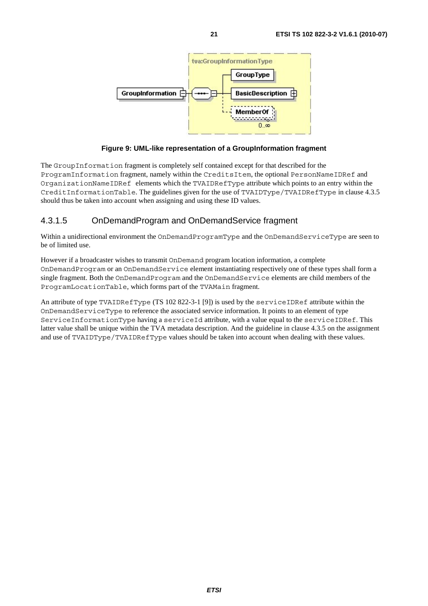

### **Figure 9: UML-like representation of a GroupInformation fragment**

The GroupInformation fragment is completely self contained except for that described for the ProgramInformation fragment, namely within the CreditsItem, the optional PersonNameIDRef and OrganizationNameIDRef elements which the TVAIDRefType attribute which points to an entry within the CreditInformationTable. The guidelines given for the use of TVAIDType/TVAIDRefType in clause 4.3.5 should thus be taken into account when assigning and using these ID values.

### 4.3.1.5 OnDemandProgram and OnDemandService fragment

Within a unidirectional environment the OnDemandProgramType and the OnDemandServiceType are seen to be of limited use.

However if a broadcaster wishes to transmit OnDemand program location information, a complete OnDemandProgram or an OnDemandService element instantiating respectively one of these types shall form a single fragment. Both the OnDemandProgram and the OnDemandService elements are child members of the ProgramLocationTable, which forms part of the TVAMain fragment.

An attribute of type TVAIDRefType (TS 102 822-3-1 [9]) is used by the serviceIDRef attribute within the OnDemandServiceType to reference the associated service information. It points to an element of type ServiceInformationType having a serviceId attribute, with a value equal to the serviceIDRef. This latter value shall be unique within the TVA metadata description. And the guideline in clause 4.3.5 on the assignment and use of TVAIDType/TVAIDRefType values should be taken into account when dealing with these values.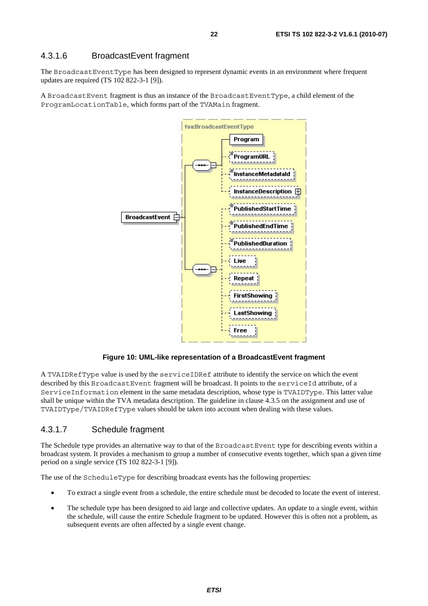### 4.3.1.6 BroadcastEvent fragment

The BroadcastEventType has been designed to represent dynamic events in an environment where frequent updates are required (TS 102 822-3-1 [9]).

A BroadcastEvent fragment is thus an instance of the BroadcastEventType, a child element of the ProgramLocationTable, which forms part of the TVAMain fragment.



**Figure 10: UML-like representation of a BroadcastEvent fragment** 

A TVAIDRefType value is used by the serviceIDRef attribute to identify the service on which the event described by this BroadcastEvent fragment will be broadcast. It points to the serviceId attribute, of a ServiceInformation element in the same metadata description, whose type is TVAIDType. This latter value shall be unique within the TVA metadata description. The guideline in clause 4.3.5 on the assignment and use of TVAIDType/TVAIDRefType values should be taken into account when dealing with these values.

### 4.3.1.7 Schedule fragment

The Schedule type provides an alternative way to that of the BroadcastEvent type for describing events within a broadcast system. It provides a mechanism to group a number of consecutive events together, which span a given time period on a single service (TS 102 822-3-1 [9]).

The use of the ScheduleType for describing broadcast events has the following properties:

- To extract a single event from a schedule, the entire schedule must be decoded to locate the event of interest.
- The schedule type has been designed to aid large and collective updates. An update to a single event, within the schedule, will cause the entire Schedule fragment to be updated. However this is often not a problem, as subsequent events are often affected by a single event change.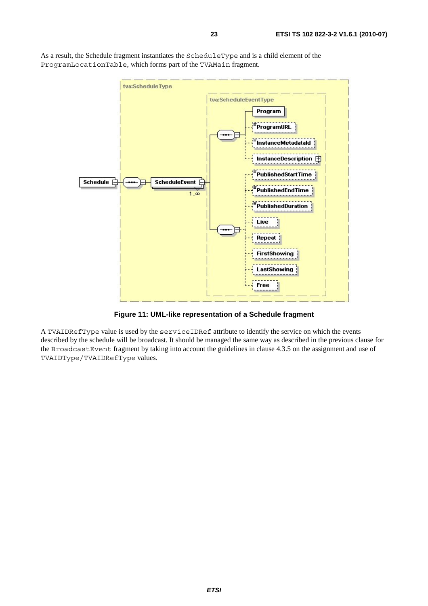tva:ScheduleType tva:ScheduleEventType Program ProgramURL InstanceMetadataId InstanceDescription  $\boxplus$ PublishedStartTime Schedule F **ScheduleEvent** PublishedEndTime  $1.\infty$ PublishedDuration Live Repeat **FirstShowing** LastShowing Free

As a result, the Schedule fragment instantiates the ScheduleType and is a child element of the ProgramLocationTable, which forms part of the TVAMain fragment.

**Figure 11: UML-like representation of a Schedule fragment** 

A TVAIDRefType value is used by the serviceIDRef attribute to identify the service on which the events described by the schedule will be broadcast. It should be managed the same way as described in the previous clause for the BroadcastEvent fragment by taking into account the guidelines in clause 4.3.5 on the assignment and use of TVAIDType/TVAIDRefType values.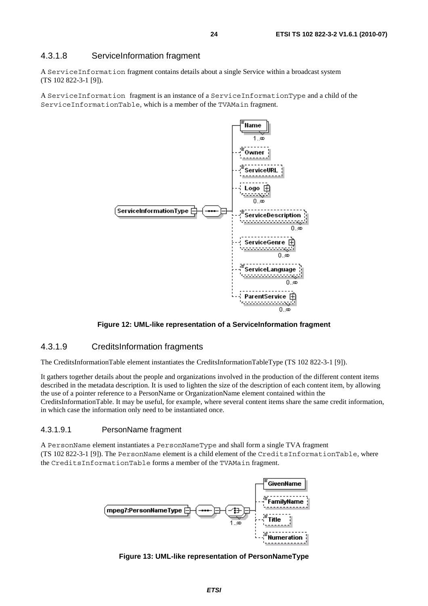### 4.3.1.8 ServiceInformation fragment

A ServiceInformation fragment contains details about a single Service within a broadcast system (TS 102 822-3-1 [9]).

A ServiceInformation fragment is an instance of a ServiceInformationType and a child of the ServiceInformationTable, which is a member of the TVAMain fragment.



#### **Figure 12: UML-like representation of a ServiceInformation fragment**

#### 4.3.1.9 CreditsInformation fragments

The CreditsInformationTable element instantiates the CreditsInformationTableType (TS 102 822-3-1 [9]).

It gathers together details about the people and organizations involved in the production of the different content items described in the metadata description. It is used to lighten the size of the description of each content item, by allowing the use of a pointer reference to a PersonName or OrganizationName element contained within the CreditsInformationTable. It may be useful, for example, where several content items share the same credit information, in which case the information only need to be instantiated once.

#### 4.3.1.9.1 PersonName fragment

A PersonName element instantiates a PersonNameType and shall form a single TVA fragment (TS 102 822-3-1 [9]). The PersonName element is a child element of the CreditsInformationTable, where the CreditsInformationTable forms a member of the TVAMain fragment.



**Figure 13: UML-like representation of PersonNameType**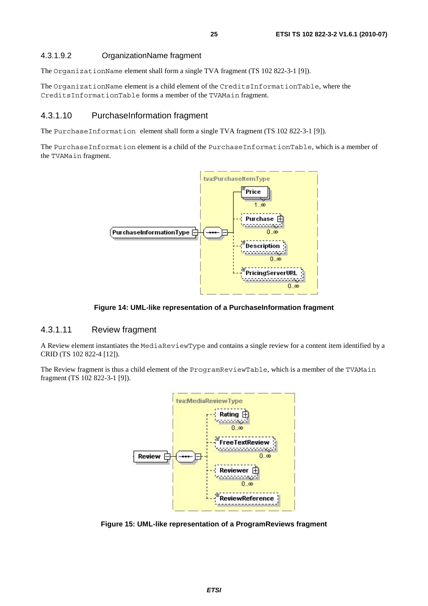### 4.3.1.9.2 OrganizationName fragment

The OrganizationName element shall form a single TVA fragment (TS 102 822-3-1 [9]).

The OrganizationName element is a child element of the CreditsInformationTable, where the CreditsInformationTable forms a member of the TVAMain fragment.

### 4.3.1.10 PurchaseInformation fragment

The PurchaseInformation element shall form a single TVA fragment (TS 102 822-3-1 [9]).

The PurchaseInformation element is a child of the PurchaseInformationTable, which is a member of the TVAMain fragment.



**Figure 14: UML-like representation of a PurchaseInformation fragment** 

### 4.3.1.11 Review fragment

A Review element instantiates the MediaReviewType and contains a single review for a content item identified by a CRID (TS 102 822-4 [12]).

The Review fragment is thus a child element of the ProgramReviewTable, which is a member of the TVAMain fragment (TS 102 822-3-1 [9]).



**Figure 15: UML-like representation of a ProgramReviews fragment**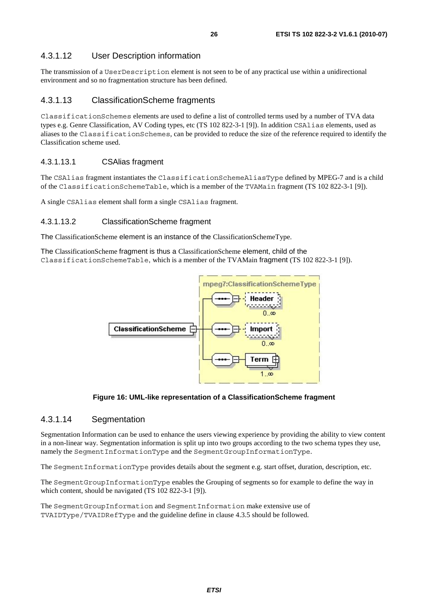### 4.3.1.12 User Description information

The transmission of a UserDescription element is not seen to be of any practical use within a unidirectional environment and so no fragmentation structure has been defined.

### 4.3.1.13 ClassificationScheme fragments

ClassificationSchemes elements are used to define a list of controlled terms used by a number of TVA data types e.g. Genre Classification, AV Coding types, etc (TS 102 822-3-1 [9]). In addition CSAlias elements, used as aliases to the ClassificationSchemes, can be provided to reduce the size of the reference required to identify the Classification scheme used.

### 4.3.1.13.1 CSAlias fragment

The CSAlias fragment instantiates the ClassificationSchemeAliasType defined by MPEG-7 and is a child of the ClassificationSchemeTable, which is a member of the TVAMain fragment (TS 102 822-3-1 [9]).

A single CSAlias element shall form a single CSAlias fragment.

### 4.3.1.13.2 ClassificationScheme fragment

The ClassificationScheme element is an instance of the ClassificationSchemeType.

The ClassificationScheme fragment is thus a ClassificationScheme element, child of the ClassificationSchemeTable, which is a member of the TVAMain fragment (TS 102 822-3-1 [9]).



**Figure 16: UML-like representation of a ClassificationScheme fragment** 

### 4.3.1.14 Segmentation

Segmentation Information can be used to enhance the users viewing experience by providing the ability to view content in a non-linear way. Segmentation information is split up into two groups according to the two schema types they use, namely the SegmentInformationType and the SegmentGroupInformationType.

The SegmentInformationType provides details about the segment e.g. start offset, duration, description, etc.

The SegmentGroupInformationType enables the Grouping of segments so for example to define the way in which content, should be navigated (TS 102 822-3-1 [9]).

The SegmentGroupInformation and SegmentInformation make extensive use of TVAIDType/TVAIDRefType and the guideline define in clause 4.3.5 should be followed.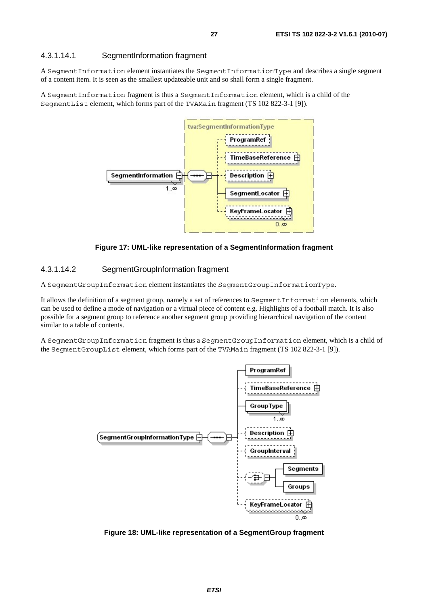#### 4.3.1.14.1 SegmentInformation fragment

A SegmentInformation element instantiates the SegmentInformationType and describes a single segment of a content item. It is seen as the smallest updateable unit and so shall form a single fragment.

A SegmentInformation fragment is thus a SegmentInformation element, which is a child of the SegmentList element, which forms part of the TVAMain fragment (TS 102 822-3-1 [9]).



**Figure 17: UML-like representation of a SegmentInformation fragment** 

#### 4.3.1.14.2 SegmentGroupInformation fragment

A SegmentGroupInformation element instantiates the SegmentGroupInformationType.

It allows the definition of a segment group, namely a set of references to SegmentInformation elements, which can be used to define a mode of navigation or a virtual piece of content e.g. Highlights of a football match. It is also possible for a segment group to reference another segment group providing hierarchical navigation of the content similar to a table of contents.

A SegmentGroupInformation fragment is thus a SegmentGroupInformation element, which is a child of the SegmentGroupList element, which forms part of the TVAMain fragment (TS 102 822-3-1 [9]).



**Figure 18: UML-like representation of a SegmentGroup fragment**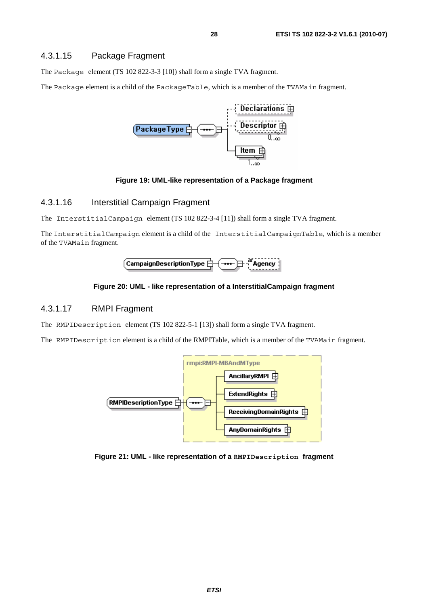The Package element (TS 102 822-3-3 [10]) shall form a single TVA fragment.

The Package element is a child of the PackageTable, which is a member of the TVAMain fragment.



#### **Figure 19: UML-like representation of a Package fragment**

### 4.3.1.16 Interstitial Campaign Fragment

The InterstitialCampaign element (TS 102 822-3-4 [11]) shall form a single TVA fragment.

The InterstitialCampaign element is a child of the InterstitialCampaignTable, which is a member of the TVAMain fragment.



#### **Figure 20: UML - like representation of a InterstitialCampaign fragment**

#### 4.3.1.17 RMPI Fragment

The RMPIDescription element (TS 102 822-5-1 [13]) shall form a single TVA fragment.

The RMPIDescription element is a child of the RMPITable, which is a member of the TVAMain fragment.



**Figure 21: UML - like representation of a RMPIDescription fragment**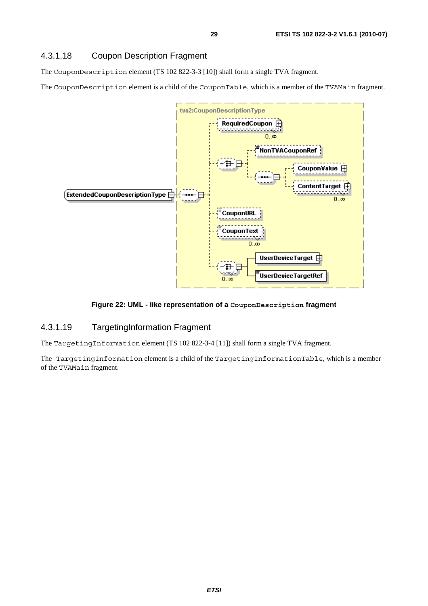### 4.3.1.18 Coupon Description Fragment

The CouponDescription element (TS 102 822-3-3 [10]) shall form a single TVA fragment.

The CouponDescription element is a child of the CouponTable, which is a member of the TVAMain fragment.



### **Figure 22: UML - like representation of a CouponDescription fragment**

### 4.3.1.19 TargetingInformation Fragment

The TargetingInformation element (TS 102 822-3-4 [11]) shall form a single TVA fragment.

The TargetingInformation element is a child of the TargetingInformationTable, which is a member of the TVAMain fragment.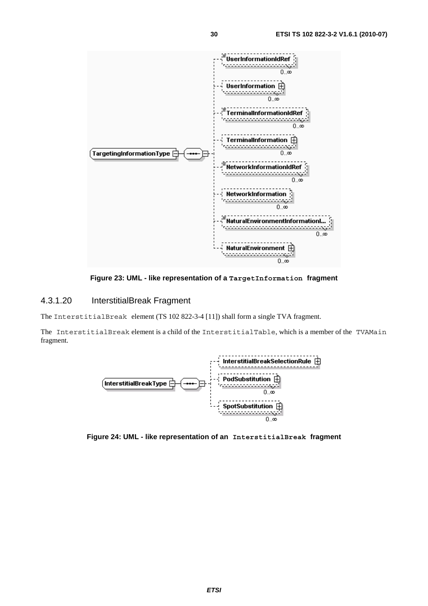

**Figure 23: UML - like representation of a TargetInformation fragment** 

### 4.3.1.20 InterstitialBreak Fragment

The InterstitialBreak element (TS 102 822-3-4 [11]) shall form a single TVA fragment.

The InterstitialBreak element is a child of the InterstitialTable, which is a member of the TVAMain fragment.



**Figure 24: UML - like representation of an InterstitialBreak fragment**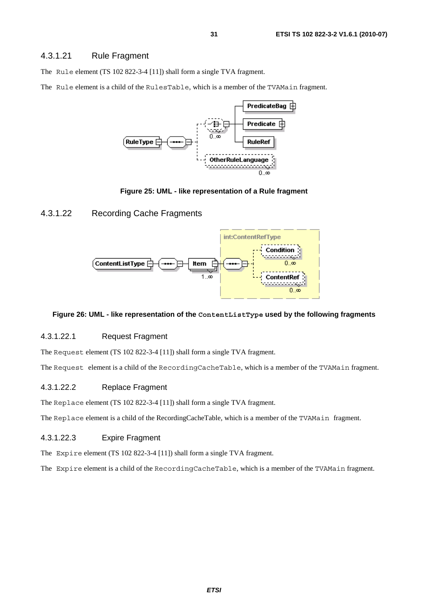### 4.3.1.21 Rule Fragment

The Rule element (TS 102 822-3-4 [11]) shall form a single TVA fragment.

The Rule element is a child of the RulesTable, which is a member of the TVAMain fragment.



**Figure 25: UML - like representation of a Rule fragment** 

### 4.3.1.22 Recording Cache Fragments



#### **Figure 26: UML - like representation of the ContentListType used by the following fragments**

### 4.3.1.22.1 Request Fragment

The Request element (TS 102 822-3-4 [11]) shall form a single TVA fragment.

The Request element is a child of the RecordingCacheTable, which is a member of the TVAMain fragment.

#### 4.3.1.22.2 Replace Fragment

The Replace element (TS 102 822-3-4 [11]) shall form a single TVA fragment.

The Replace element is a child of the RecordingCacheTable, which is a member of the TVAMain fragment.

#### 4.3.1.22.3 Expire Fragment

The Expire element (TS 102 822-3-4 [11]) shall form a single TVA fragment.

The Expire element is a child of the RecordingCacheTable, which is a member of the TVAMain fragment.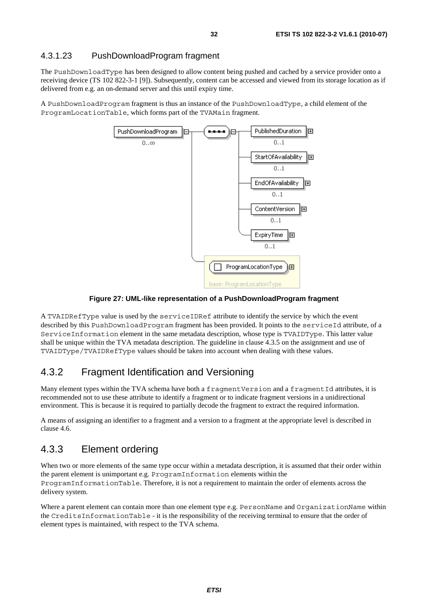### 4.3.1.23 PushDownloadProgram fragment

The PushDownloadType has been designed to allow content being pushed and cached by a service provider onto a receiving device (TS 102 822-3-1 [9]). Subsequently, content can be accessed and viewed from its storage location as if delivered from e.g. an on-demand server and this until expiry time.

A PushDownloadProgram fragment is thus an instance of the PushDownloadType, a child element of the ProgramLocationTable, which forms part of the TVAMain fragment.



**Figure 27: UML-like representation of a PushDownloadProgram fragment** 

A TVAIDRefType value is used by the serviceIDRef attribute to identify the service by which the event described by this PushDownloadProgram fragment has been provided. It points to the serviceId attribute, of a ServiceInformation element in the same metadata description, whose type is TVAIDType. This latter value shall be unique within the TVA metadata description. The guideline in clause 4.3.5 on the assignment and use of TVAIDType/TVAIDRefType values should be taken into account when dealing with these values.

### 4.3.2 Fragment Identification and Versioning

Many element types within the TVA schema have both a fragmentVersion and a fragmentId attributes, it is recommended not to use these attribute to identify a fragment or to indicate fragment versions in a unidirectional environment. This is because it is required to partially decode the fragment to extract the required information.

A means of assigning an identifier to a fragment and a version to a fragment at the appropriate level is described in clause 4.6.

### 4.3.3 Element ordering

When two or more elements of the same type occur within a metadata description, it is assumed that their order within the parent element is unimportant e.g. ProgramInformation elements within the ProgramInformationTable. Therefore, it is not a requirement to maintain the order of elements across the delivery system.

Where a parent element can contain more than one element type e.g. PersonName and OrganizationName within the CreditsInformationTable - it is the responsibility of the receiving terminal to ensure that the order of element types is maintained, with respect to the TVA schema.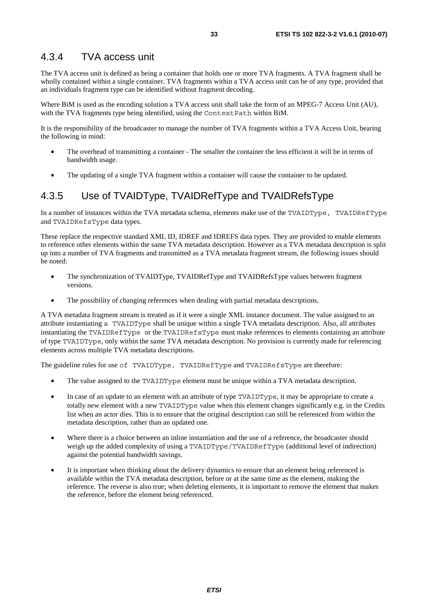### 4.3.4 TVA access unit

The TVA access unit is defined as being a container that holds one or more TVA fragments. A TVA fragment shall be wholly contained within a single container. TVA fragments within a TVA access unit can be of any type, provided that an individuals fragment type can be identified without fragment decoding.

Where BiM is used as the encoding solution a TVA access unit shall take the form of an MPEG-7 Access Unit (AU), with the TVA fragments type being identified, using the ContextPath within BiM.

It is the responsibility of the broadcaster to manage the number of TVA fragments within a TVA Access Unit, bearing the following in mind:

- The overhead of transmitting a container The smaller the container the less efficient it will be in terms of bandwidth usage.
- The updating of a single TVA fragment within a container will cause the container to be updated.

### 4.3.5 Use of TVAIDType, TVAIDRefType and TVAIDRefsType

In a number of instances within the TVA metadata schema, elements make use of the TVAIDType, TVAIDRefType and TVAIDRefsType data types.

These replace the respective standard XML ID, IDREF and IDREFS data types. They are provided to enable elements to reference other elements within the same TVA metadata description. However as a TVA metadata description is split up into a number of TVA fragments and transmitted as a TVA metadata fragment stream, the following issues should be noted:

- The synchronization of TVAIDType, TVAIDRefType and TVAIDRefsType values between fragment versions.
- The possibility of changing references when dealing with partial metadata descriptions.

A TVA metadata fragment stream is treated as if it were a single XML instance document. The value assigned to an attribute instantiating a TVAIDType shall be unique within a single TVA metadata description. Also, all attributes instantiating the TVAIDRefType or the TVAIDRefsType must make references to elements containing an attribute of type TVAIDType, only within the same TVA metadata description. No provision is currently made for referencing elements across multiple TVA metadata descriptions.

The guideline rules for use of TVAIDType, TVAIDRefType and TVAIDRefsType are therefore:

- The value assigned to the TVAIDType element must be unique within a TVA metadata description.
- In case of an update to an element with an attribute of type TVAIDType, it may be appropriate to create a totally new element with a new TVAIDType value when this element changes significantly e.g. in the Credits list when an actor dies. This is to ensure that the original description can still be referenced from within the metadata description, rather than an updated one.
- Where there is a choice between an inline instantiation and the use of a reference, the broadcaster should weigh up the added complexity of using a TVAIDType/TVAIDRefType (additional level of indirection) against the potential bandwidth savings.
- It is important when thinking about the delivery dynamics to ensure that an element being referenced is available within the TVA metadata description, before or at the same time as the element, making the reference. The reverse is also true; when deleting elements, it is important to remove the element that makes the reference, before the element being referenced.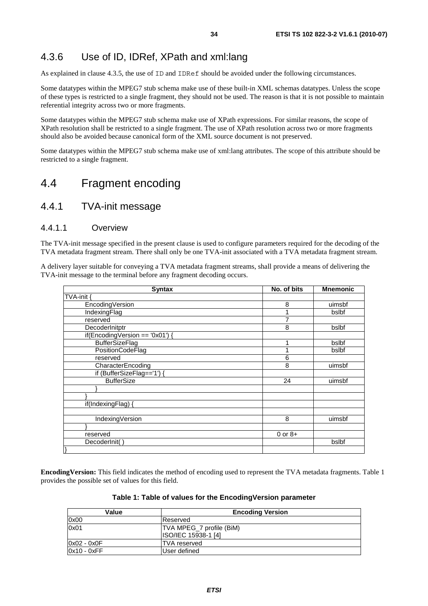### 4.3.6 Use of ID, IDRef, XPath and xml:lang

As explained in clause 4.3.5, the use of ID and IDRef should be avoided under the following circumstances.

Some datatypes within the MPEG7 stub schema make use of these built-in XML schemas datatypes. Unless the scope of these types is restricted to a single fragment, they should not be used. The reason is that it is not possible to maintain referential integrity across two or more fragments.

Some datatypes within the MPEG7 stub schema make use of XPath expressions. For similar reasons, the scope of XPath resolution shall be restricted to a single fragment. The use of XPath resolution across two or more fragments should also be avoided because canonical form of the XML source document is not preserved.

Some datatypes within the MPEG7 stub schema make use of xml:lang attributes. The scope of this attribute should be restricted to a single fragment.

# 4.4 Fragment encoding

### 4.4.1 TVA-init message

### 4.4.1.1 Overview

The TVA-init message specified in the present clause is used to configure parameters required for the decoding of the TVA metadata fragment stream. There shall only be one TVA-init associated with a TVA metadata fragment stream.

A delivery layer suitable for conveying a TVA metadata fragment streams, shall provide a means of delivering the TVA-init message to the terminal before any fragment decoding occurs.

| <b>Syntax</b>                   | No. of bits | <b>Mnemonic</b> |
|---------------------------------|-------------|-----------------|
| TVA-init                        |             |                 |
| EncodingVersion                 | 8           | uimsbf          |
| IndexingFlag                    |             | bslbf           |
| reserved                        | 7           |                 |
| DecoderInitptr                  | 8           | bslbf           |
| if(EncodingVersion == '0x01') { |             |                 |
| <b>BufferSizeFlag</b>           |             | bslbf           |
| PositionCodeFlag                |             | bslbf           |
| reserved                        | 6           |                 |
| CharacterEncoding               | 8           | uimsbf          |
| if (BufferSizeFlag=='1') {      |             |                 |
| <b>BufferSize</b>               | 24          | uimsbf          |
|                                 |             |                 |
|                                 |             |                 |
| if(IndexingFlag)                |             |                 |
|                                 |             |                 |
| IndexingVersion                 | 8           | uimsbf          |
|                                 |             |                 |
| reserved                        | $0$ or $8+$ |                 |
| DecoderInit()                   |             | bslbf           |
| }                               |             |                 |

**EncodingVersion:** This field indicates the method of encoding used to represent the TVA metadata fragments. Table 1 provides the possible set of values for this field.

#### **Table 1: Table of values for the EncodingVersion parameter**

| Value         | <b>Encoding Version</b>  |
|---------------|--------------------------|
| 0x00          | Reserved                 |
| 0x01          | TVA MPEG_7 profile (BiM) |
|               | ISO/IEC 15938-1 [4]      |
| $0x02 - 0x0F$ | <b>ITVA</b> reserved     |
| $0x10 - 0xFF$ | User defined             |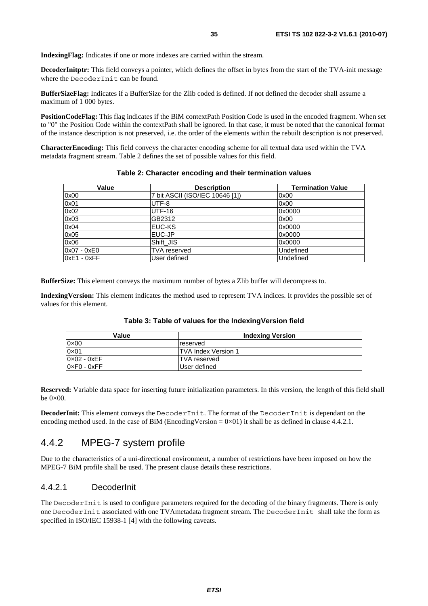**IndexingFlag:** Indicates if one or more indexes are carried within the stream.

**DecoderInitptr:** This field conveys a pointer, which defines the offset in bytes from the start of the TVA-init message where the DecoderInit can be found.

**BufferSizeFlag:** Indicates if a BufferSize for the Zlib coded is defined. If not defined the decoder shall assume a maximum of 1 000 bytes.

**PositionCodeFlag:** This flag indicates if the BiM contextPath Position Code is used in the encoded fragment. When set to "0" the Position Code within the contextPath shall be ignored. In that case, it must be noted that the canonical format of the instance description is not preserved, i.e. the order of the elements within the rebuilt description is not preserved.

**CharacterEncoding:** This field conveys the character encoding scheme for all textual data used within the TVA metadata fragment stream. Table 2 defines the set of possible values for this field.

| Value         | <b>Description</b>              | <b>Termination Value</b> |
|---------------|---------------------------------|--------------------------|
| 0x00          | 7 bit ASCII (ISO/IEC 10646 [1]) | 0x00                     |
| 0x01          | UTF-8                           | 0x00                     |
| 0x02          | <b>UTF-16</b>                   | 0x0000                   |
| 0x03          | GB2312                          | 0x00                     |
| 0x04          | <b>EUC-KS</b>                   | 0x0000                   |
| 0x05          | EUC-JP                          | 0x0000                   |
| 0x06          | Shift JIS                       | 0x0000                   |
| $0x07 - 0xE0$ | <b>TVA</b> reserved             | Undefined                |
| $0xE1 - 0xFF$ | User defined                    | Undefined                |

#### **Table 2: Character encoding and their termination values**

**BufferSize:** This element conveys the maximum number of bytes a Zlib buffer will decompress to.

**IndexingVersion:** This element indicates the method used to represent TVA indices. It provides the possible set of values for this element.

| Value                         | <b>Indexing Version</b>    |
|-------------------------------|----------------------------|
| 0×00                          | reserved                   |
| 0×01                          | <b>TVA Index Version 1</b> |
| 0×02 - 0xEF                   | <b>ITVA</b> reserved       |
| $0 \times F0$ - $0 \times FF$ | User defined               |

**Table 3: Table of values for the IndexingVersion field** 

**Reserved:** Variable data space for inserting future initialization parameters. In this version, the length of this field shall be  $0\times 00$ .

**DecoderInit:** This element conveys the DecoderInit. The format of the DecoderInit is dependant on the encoding method used. In the case of BiM (EncodingVersion =  $0 \times 01$ ) it shall be as defined in clause 4.4.2.1.

### 4.4.2 MPEG-7 system profile

Due to the characteristics of a uni-directional environment, a number of restrictions have been imposed on how the MPEG-7 BiM profile shall be used. The present clause details these restrictions.

#### 4.4.2.1 DecoderInit

The DecoderInit is used to configure parameters required for the decoding of the binary fragments. There is only one DecoderInit associated with one TVAmetadata fragment stream. The DecoderInit shall take the form as specified in ISO/IEC 15938-1 [4] with the following caveats.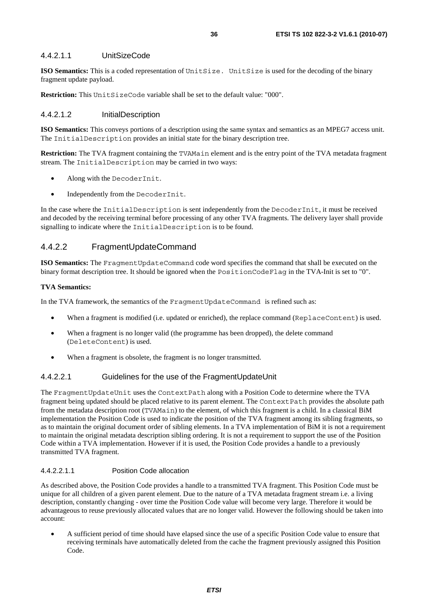#### 4.4.2.1.1 UnitSizeCode

**ISO Semantics:** This is a coded representation of UnitSize. UnitSize is used for the decoding of the binary fragment update payload.

**Restriction:** This UnitSizeCode variable shall be set to the default value: "000".

#### 4.4.2.1.2 InitialDescription

**ISO Semantics:** This conveys portions of a description using the same syntax and semantics as an MPEG7 access unit. The InitialDescription provides an initial state for the binary description tree.

**Restriction:** The TVA fragment containing the TVAMain element and is the entry point of the TVA metadata fragment stream. The InitialDescription may be carried in two ways:

- Along with the DecoderInit.
- Independently from the DecoderInit.

In the case where the InitialDescription is sent independently from the DecoderInit, it must be received and decoded by the receiving terminal before processing of any other TVA fragments. The delivery layer shall provide signalling to indicate where the InitialDescription is to be found.

### 4.4.2.2 FragmentUpdateCommand

**ISO Semantics:** The FragmentUpdateCommand code word specifies the command that shall be executed on the binary format description tree. It should be ignored when the PositionCodeFlag in the TVA-Init is set to "0".

#### **TVA Semantics:**

In the TVA framework, the semantics of the FragmentUpdateCommand is refined such as:

- When a fragment is modified (i.e. updated or enriched), the replace command (ReplaceContent) is used.
- When a fragment is no longer valid (the programme has been dropped), the delete command (DeleteContent) is used.
- When a fragment is obsolete, the fragment is no longer transmitted.

#### 4.4.2.2.1 Guidelines for the use of the FragmentUpdateUnit

The FragmentUpdateUnit uses the ContextPath along with a Position Code to determine where the TVA fragment being updated should be placed relative to its parent element. The ContextPath provides the absolute path from the metadata description root (TVAMain) to the element, of which this fragment is a child. In a classical BiM implementation the Position Code is used to indicate the position of the TVA fragment among its sibling fragments, so as to maintain the original document order of sibling elements. In a TVA implementation of BiM it is not a requirement to maintain the original metadata description sibling ordering. It is not a requirement to support the use of the Position Code within a TVA implementation. However if it is used, the Position Code provides a handle to a previously transmitted TVA fragment.

#### 4.4.2.2.1.1 Position Code allocation

As described above, the Position Code provides a handle to a transmitted TVA fragment. This Position Code must be unique for all children of a given parent element. Due to the nature of a TVA metadata fragment stream i.e. a living description, constantly changing - over time the Position Code value will become very large. Therefore it would be advantageous to reuse previously allocated values that are no longer valid. However the following should be taken into account:

• A sufficient period of time should have elapsed since the use of a specific Position Code value to ensure that receiving terminals have automatically deleted from the cache the fragment previously assigned this Position Code.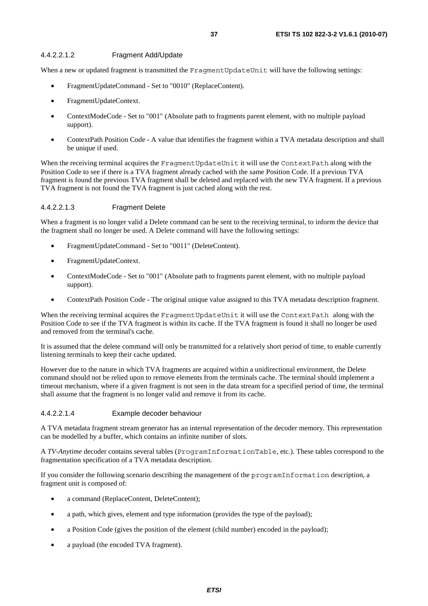### 4.4.2.2.1.2 Fragment Add/Update

When a new or updated fragment is transmitted the FragmentUpdateUnit will have the following settings:

- FragmentUpdateCommand Set to "0010" (ReplaceContent).
- FragmentUpdateContext.
- ContextModeCode Set to "001" (Absolute path to fragments parent element, with no multiple payload support).
- ContextPath Position Code A value that identifies the fragment within a TVA metadata description and shall be unique if used.

When the receiving terminal acquires the FragmentUpdateUnit it will use the ContextPath along with the Position Code to see if there is a TVA fragment already cached with the same Position Code. If a previous TVA fragment is found the previous TVA fragment shall be deleted and replaced with the new TVA fragment. If a previous TVA fragment is not found the TVA fragment is just cached along with the rest.

### 4.4.2.2.1.3 Fragment Delete

When a fragment is no longer valid a Delete command can be sent to the receiving terminal, to inform the device that the fragment shall no longer be used. A Delete command will have the following settings:

- FragmentUpdateCommand Set to "0011" (DeleteContent).
- FragmentUpdateContext.
- ContextModeCode Set to "001" (Absolute path to fragments parent element, with no multiple payload support).
- ContextPath Position Code The original unique value assigned to this TVA metadata description fragment.

When the receiving terminal acquires the FragmentUpdateUnit it will use the ContextPath along with the Position Code to see if the TVA fragment is within its cache. If the TVA fragment is found it shall no longer be used and removed from the terminal's cache.

It is assumed that the delete command will only be transmitted for a relatively short period of time, to enable currently listening terminals to keep their cache updated.

However due to the nature in which TVA fragments are acquired within a unidirectional environment, the Delete command should not be relied upon to remove elements from the terminals cache. The terminal should implement a timeout mechanism, where if a given fragment is not seen in the data stream for a specified period of time, the terminal shall assume that the fragment is no longer valid and remove it from its cache.

#### 4.4.2.2.1.4 Example decoder behaviour

A TVA metadata fragment stream generator has an internal representation of the decoder memory. This representation can be modelled by a buffer, which contains an infinite number of slots.

A *TV-Anytime* decoder contains several tables (ProgramInformationTable, etc.). These tables correspond to the fragmentation specification of a TVA metadata description.

If you consider the following scenario describing the management of the programInformation description, a fragment unit is composed of:

- a command (ReplaceContent, DeleteContent);
- a path, which gives, element and type information (provides the type of the payload);
- a Position Code (gives the position of the element (child number) encoded in the payload);
- a payload (the encoded TVA fragment).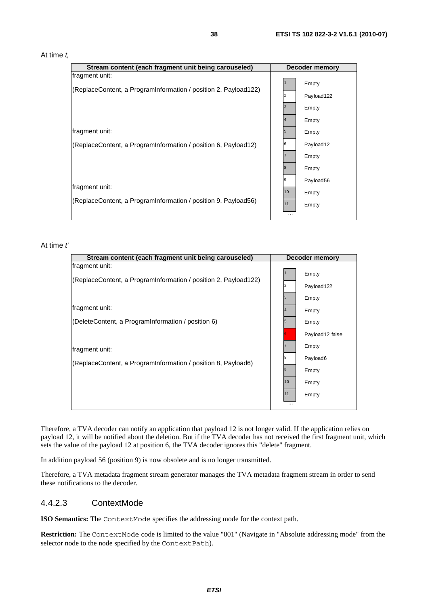#### At time *t,*

| Stream content (each fragment unit being carouseled)            |    | <b>Decoder memory</b> |
|-----------------------------------------------------------------|----|-----------------------|
| fragment unit:                                                  |    |                       |
|                                                                 |    | Empty                 |
| (ReplaceContent, a ProgramInformation / position 2, Payload122) | 2  | Payload 122           |
|                                                                 | 13 | Empty                 |
|                                                                 |    | Empty                 |
| fragment unit:                                                  | 5  | Empty                 |
| (ReplaceContent, a ProgramInformation / position 6, Payload12)  | 6  | Payload <sub>12</sub> |
|                                                                 |    | Empty                 |
|                                                                 | 8  | Empty                 |
| fragment unit:                                                  | 19 | Payload56             |
|                                                                 | 10 | Empty                 |
| (ReplaceContent, a ProgramInformation / position 9, Payload56)  | 11 | Empty                 |
|                                                                 | .  |                       |

#### At time *t'*

| Stream content (each fragment unit being carouseled)            |                | Decoder memory  |
|-----------------------------------------------------------------|----------------|-----------------|
| fragment unit:                                                  |                | Empty           |
| (ReplaceContent, a ProgramInformation / position 2, Payload122) | 2              | Payload122      |
|                                                                 | l3             | Empty           |
| fragment unit:                                                  | $\overline{4}$ | Empty           |
| (DeleteContent, a ProgramInformation / position 6)              | $\sqrt{5}$     | Empty           |
|                                                                 |                | Payload12 false |
| fragment unit:                                                  |                | Empty           |
| (ReplaceContent, a ProgramInformation / position 8, Payload6)   | 18             | Payload6        |
|                                                                 | 19             | Empty           |
|                                                                 | 10             | Empty           |
|                                                                 | 11             | Empty           |
|                                                                 |                |                 |

Therefore, a TVA decoder can notify an application that payload 12 is not longer valid. If the application relies on payload 12, it will be notified about the deletion. But if the TVA decoder has not received the first fragment unit, which sets the value of the payload 12 at position 6, the TVA decoder ignores this "delete" fragment.

In addition payload 56 (position 9) is now obsolete and is no longer transmitted.

Therefore, a TVA metadata fragment stream generator manages the TVA metadata fragment stream in order to send these notifications to the decoder.

### 4.4.2.3 ContextMode

**ISO Semantics:** The ContextMode specifies the addressing mode for the context path.

**Restriction:** The ContextMode code is limited to the value "001" (Navigate in "Absolute addressing mode" from the selector node to the node specified by the ContextPath).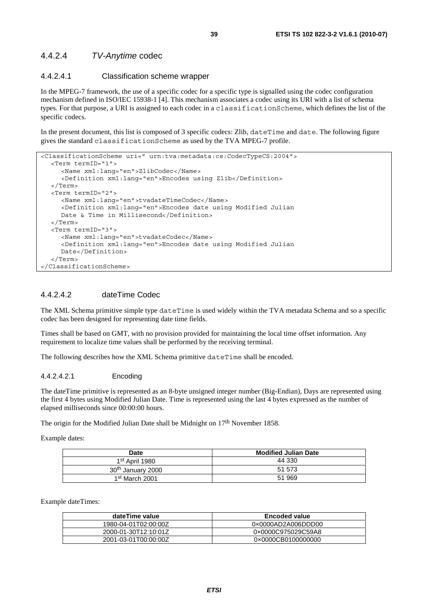### 4.4.2.4 *TV-Anytime* codec

### 4.4.2.4.1 Classification scheme wrapper

In the MPEG-7 framework, the use of a specific codec for a specific type is signalled using the codec configuration mechanism defined in ISO/IEC 15938-1 [4]. This mechanism associates a codec using its URI with a list of schema types. For that purpose, a URI is assigned to each codec in a classificationScheme, which defines the list of the specific codecs.

In the present document, this list is composed of 3 specific codecs: Zlib, dateTime and date. The following figure gives the standard classificationScheme as used by the TVA MPEG-7 profile.

```
<ClassificationScheme uri=" urn:tva:metadata:cs:CodecTypeCS:2004"> 
   <Term termID="1"> 
      <Name xml:lang="en">ZlibCodec</Name> 
      <Definition xml:lang="en">Encodes using Zlib</Definition> 
   </Term> 
   <Term termID="2"> 
      <Name xml:lang="en">tvadateTimeCodec</Name> 
      <Definition xml:lang="en">Encodes date using Modified Julian 
    Date & Time in Millisecond</Definition>
   </Term> 
   <Term termID="3"> 
      <Name xml:lang="en">tvadateCodec</Name> 
      <Definition xml:lang="en">Encodes date using Modified Julian 
      Date</Definition> 
   </Term> 
</ClassificationScheme>
```
### 4.4.2.4.2 dateTime Codec

The XML Schema primitive simple type dateTime is used widely within the TVA metadata Schema and so a specific codec has been designed for representing date time fields.

Times shall be based on GMT, with no provision provided for maintaining the local time offset information. Any requirement to localize time values shall be performed by the receiving terminal.

The following describes how the XML Schema primitive dateTime shall be encoded.

### 4.4.2.4.2.1 Encoding

The dateTime primitive is represented as an 8-byte unsigned integer number (Big-Endian), Days are represented using the first 4 bytes using Modified Julian Date. Time is represented using the last 4 bytes expressed as the number of elapsed milliseconds since 00:00:00 hours.

The origin for the Modified Julian Date shall be Midnight on 17<sup>th</sup> November 1858.

Example dates:

| Date                          | <b>Modified Julian Date</b> |
|-------------------------------|-----------------------------|
| 1 <sup>st</sup> April 1980    | 44 330                      |
| 30 <sup>th</sup> January 2000 | 51 573                      |
| 1 <sup>st</sup> March 2001    | 51 969                      |

Example dateTimes:

| dateTime value       | <b>Encoded value</b> |
|----------------------|----------------------|
| 1980-04-01T02:00:00Z | 0x0000AD2A006DDD00   |
| 2000-01-30T12:10:01Z | 0×0000C975029C59A8   |
| 2001-03-01T00:00:00Z | 0×0000CB0100000000   |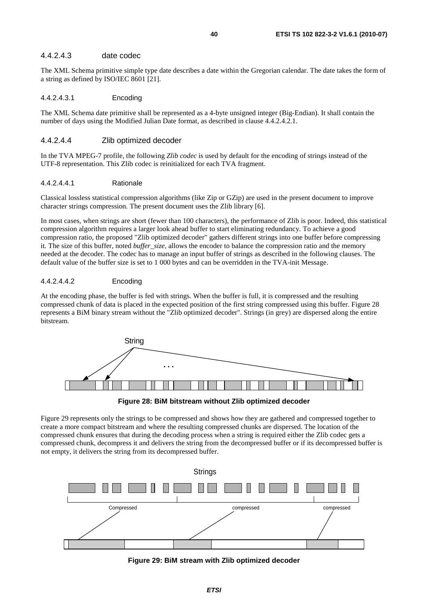### 4.4.2.4.3 date codec

The XML Schema primitive simple type date describes a date within the Gregorian calendar. The date takes the form of a string as defined by ISO/IEC 8601 [21].

#### 4.4.2.4.3.1 Encoding

The XML Schema date primitive shall be represented as a 4-byte unsigned integer (Big-Endian). It shall contain the number of days using the Modified Julian Date format, as described in clause 4.4.2.4.2.1.

#### 4.4.2.4.4 Zlib optimized decoder

In the TVA MPEG-7 profile, the following *Zlib codec* is used by default for the encoding of strings instead of the UTF-8 representation. This Zlib codec is reinitialized for each TVA fragment.

#### 4.4.2.4.4.1 Rationale

Classical lossless statistical compression algorithms (like Zip or GZip) are used in the present document to improve character strings compression. The present document uses the Zlib library [6].

In most cases, when strings are short (fewer than 100 characters), the performance of Zlib is poor. Indeed, this statistical compression algorithm requires a larger look ahead buffer to start eliminating redundancy. To achieve a good compression ratio, the proposed "Zlib optimized decoder" gathers different strings into one buffer before compressing it. The size of this buffer, noted *buffer*\_*size,* allows the encoder to balance the compression ratio and the memory needed at the decoder. The codec has to manage an input buffer of strings as described in the following clauses. The default value of the buffer size is set to 1 000 bytes and can be overridden in the TVA-init Message.

#### 4.4.2.4.4.2 Encoding

At the encoding phase, the buffer is fed with strings. When the buffer is full, it is compressed and the resulting compressed chunk of data is placed in the expected position of the first string compressed using this buffer. Figure 28 represents a BiM binary stream without the "Zlib optimized decoder". Strings (in grey) are dispersed along the entire bitstream.



**Figure 28: BiM bitstream without Zlib optimized decoder** 

Figure 29 represents only the strings to be compressed and shows how they are gathered and compressed together to create a more compact bitstream and where the resulting compressed chunks are dispersed. The location of the compressed chunk ensures that during the decoding process when a string is required either the Zlib codec gets a compressed chunk, decompress it and delivers the string from the decompressed buffer or if its decompressed buffer is not empty, it delivers the string from its decompressed buffer.



**Figure 29: BiM stream with Zlib optimized decoder**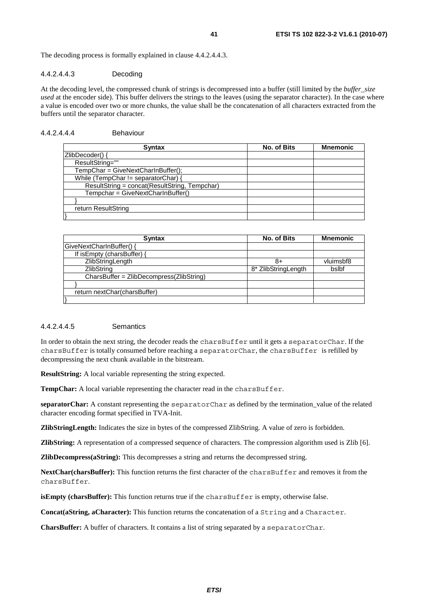The decoding process is formally explained in clause 4.4.2.4.4.3.

#### 4.4.2.4.4.3 Decoding

At the decoding level, the compressed chunk of strings is decompressed into a buffer (still limited by the *buffer*\_*size used* at the encoder side). This buffer delivers the strings to the leaves (using the separator character). In the case where a value is encoded over two or more chunks, the value shall be the concatenation of all characters extracted from the buffers until the separator character.

### 4.4.2.4.4.4 Behaviour

| <b>Syntax</b>                                 | No. of Bits | <b>Mnemonic</b> |
|-----------------------------------------------|-------------|-----------------|
| ZlibDecoder() {                               |             |                 |
| ResultString=""                               |             |                 |
| TempChar = GiveNextCharInBuffer();            |             |                 |
| While (TempChar != separatorChar)             |             |                 |
| ResultString = concat(ResultString, Tempchar) |             |                 |
| Tempchar = GiveNextCharInBuffer()             |             |                 |
|                                               |             |                 |
| return ResultString                           |             |                 |
|                                               |             |                 |

| <b>Syntax</b>                            | No. of Bits         | <b>Mnemonic</b> |
|------------------------------------------|---------------------|-----------------|
| GiveNextCharInBuffer() {                 |                     |                 |
| If is Empty (chars Buffer) {             |                     |                 |
| ZlibStringLength                         | 8+                  | vluimsbf8       |
| ZlibString                               | 8* ZlibStringLength | bslbf           |
| CharsBuffer = ZlibDecompress(ZlibString) |                     |                 |
|                                          |                     |                 |
| return nextChar(charsBuffer)             |                     |                 |
|                                          |                     |                 |

#### 4.4.2.4.4.5 Semantics

In order to obtain the next string, the decoder reads the charsBuffer until it gets a separatorChar. If the charsBuffer is totally consumed before reaching a separatorChar, the charsBuffer is refilled by decompressing the next chunk available in the bitstream.

**ResultString:** A local variable representing the string expected.

TempChar: A local variable representing the character read in the charsBuffer.

**separatorChar:** A constant representing the separatorChar as defined by the termination\_value of the related character encoding format specified in TVA-Init.

**ZlibStringLength:** Indicates the size in bytes of the compressed ZlibString. A value of zero is forbidden.

**ZlibString:** A representation of a compressed sequence of characters. The compression algorithm used is Zlib [6].

**ZlibDecompress(aString):** This decompresses a string and returns the decompressed string.

**NextChar(charsBuffer):** This function returns the first character of the charsBuffer and removes it from the charsBuffer.

**isEmpty (charsBuffer):** This function returns true if the charsBuffer is empty, otherwise false.

**Concat(aString, aCharacter):** This function returns the concatenation of a String and a Character.

**CharsBuffer:** A buffer of characters. It contains a list of string separated by a separatorChar.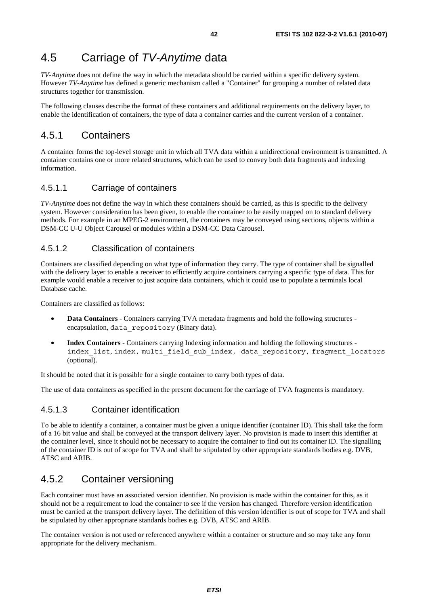# 4.5 Carriage of *TV-Anytime* data

*TV-Anytime* does not define the way in which the metadata should be carried within a specific delivery system. However *TV-Anytime* has defined a generic mechanism called a "Container" for grouping a number of related data structures together for transmission.

The following clauses describe the format of these containers and additional requirements on the delivery layer, to enable the identification of containers, the type of data a container carries and the current version of a container.

# 4.5.1 Containers

A container forms the top-level storage unit in which all TVA data within a unidirectional environment is transmitted. A container contains one or more related structures, which can be used to convey both data fragments and indexing information.

### 4.5.1.1 Carriage of containers

*TV-Anytime* does not define the way in which these containers should be carried, as this is specific to the delivery system. However consideration has been given, to enable the container to be easily mapped on to standard delivery methods. For example in an MPEG-2 environment, the containers may be conveyed using sections, objects within a DSM-CC U-U Object Carousel or modules within a DSM-CC Data Carousel.

### 4.5.1.2 Classification of containers

Containers are classified depending on what type of information they carry. The type of container shall be signalled with the delivery layer to enable a receiver to efficiently acquire containers carrying a specific type of data. This for example would enable a receiver to just acquire data containers, which it could use to populate a terminals local Database cache.

Containers are classified as follows:

- **Data Containers** Containers carrying TVA metadata fragments and hold the following structures encapsulation, data repository (Binary data).
- **Index Containers** Containers carrying Indexing information and holding the following structures index list, index, multi field sub index, data repository, fragment locators (optional).

It should be noted that it is possible for a single container to carry both types of data.

The use of data containers as specified in the present document for the carriage of TVA fragments is mandatory.

### 4.5.1.3 Container identification

To be able to identify a container, a container must be given a unique identifier (container ID). This shall take the form of a 16 bit value and shall be conveyed at the transport delivery layer. No provision is made to insert this identifier at the container level, since it should not be necessary to acquire the container to find out its container ID. The signalling of the container ID is out of scope for TVA and shall be stipulated by other appropriate standards bodies e.g. DVB, ATSC and ARIB.

# 4.5.2 Container versioning

Each container must have an associated version identifier. No provision is made within the container for this, as it should not be a requirement to load the container to see if the version has changed. Therefore version identification must be carried at the transport delivery layer. The definition of this version identifier is out of scope for TVA and shall be stipulated by other appropriate standards bodies e.g. DVB, ATSC and ARIB.

The container version is not used or referenced anywhere within a container or structure and so may take any form appropriate for the delivery mechanism.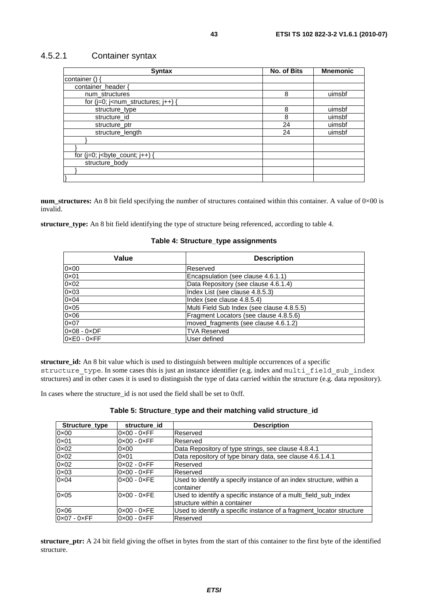### 4.5.2.1 Container syntax

| <b>Syntax</b>                                                                                                                                     | <b>No. of Bits</b> | <b>Mnemonic</b> |
|---------------------------------------------------------------------------------------------------------------------------------------------------|--------------------|-----------------|
| container () {                                                                                                                                    |                    |                 |
| container_header {                                                                                                                                |                    |                 |
| num_structures                                                                                                                                    | 8                  | uimsbf          |
| for $(i=0; i1 - num_structures; i++)$ {                                                                                                           |                    |                 |
| structure_type                                                                                                                                    | 8                  | uimsbf          |
| structure id                                                                                                                                      | 8                  | uimsbf          |
| structure ptr                                                                                                                                     | 24                 | uimsbf          |
| structure_length                                                                                                                                  | 24                 | uimsbf          |
|                                                                                                                                                   |                    |                 |
|                                                                                                                                                   |                    |                 |
| for $(j=0; j0)$ is $j0$ is $j0$ is $j0$ is $j0$ is $j0$ is a finite sum in the set of $j0$ is $j0$ in $j0$ is $j0$ in $j0$ is $j0$ in $j0$ in $j$ |                    |                 |
| structure_body                                                                                                                                    |                    |                 |
|                                                                                                                                                   |                    |                 |
|                                                                                                                                                   |                    |                 |

**num\_structures:** An 8 bit field specifying the number of structures contained within this container. A value of 0×00 is invalid.

**structure\_type:** An 8 bit field identifying the type of structure being referenced, according to table 4.

### **Table 4: Structure\_type assignments**

| Value                       | <b>Description</b>                         |
|-----------------------------|--------------------------------------------|
| $0 \times 00$               | Reserved                                   |
| $0 \times 01$               | Encapsulation (see clause 4.6.1.1)         |
| $0 \times 02$               | Data Repository (see clause 4.6.1.4)       |
| $0 \times 03$               | Index List (see clause 4.8.5.3)            |
| $0 \times 04$               | Index (see clause 4.8.5.4)                 |
| $0 \times 05$               | Multi Field Sub Index (see clause 4.8.5.5) |
| $0 \times 06$               | Fragment Locators (see clause 4.8.5.6)     |
| $0 \times 07$               | moved fragments (see clause 4.6.1.2)       |
| $0 \times 08 - 0 \times DF$ | <b>TVA Reserved</b>                        |
| $0 \times E0 - 0 \times FF$ | User defined                               |

**structure\_id:** An 8 bit value which is used to distinguish between multiple occurrences of a specific structure\_type. In some cases this is just an instance identifier (e.g. index and multi\_field\_sub\_index structures) and in other cases it is used to distinguish the type of data carried within the structure (e.g. data repository).

In cases where the structure\_id is not used the field shall be set to 0xff.

| Structure type              | structure id                | <b>Description</b>                                                                              |
|-----------------------------|-----------------------------|-------------------------------------------------------------------------------------------------|
| $0 \times 00$               | $0 \times 00 - 0 \times FF$ | Reserved                                                                                        |
| $0 \times 01$               | $0 \times 00 - 0 \times FF$ | Reserved                                                                                        |
| 0×02                        | $0 \times 00$               | Data Repository of type strings, see clause 4.8.4.1                                             |
| $0 \times 02$               | $0 \times 01$               | Data repository of type binary data, see clause 4.6.1.4.1                                       |
| $0 \times 02$               | $0 \times 02 - 0 \times FF$ | Reserved                                                                                        |
| $0 \times 03$               | $0 \times 00 - 0 \times FF$ | Reserved                                                                                        |
| $0 \times 04$               | $0 \times 00 - 0 \times FE$ | Used to identify a specify instance of an index structure, within a<br>container                |
| $0 \times 05$               | $0 \times 00 - 0 \times FE$ | Used to identify a specific instance of a multi_field_sub_index<br>structure within a container |
| $0 \times 06$               | $0 \times 00 - 0 \times FE$ | Used to identify a specific instance of a fragment locator structure                            |
| $0 \times 07 - 0 \times FF$ | $0 \times 00 - 0 \times FF$ | Reserved                                                                                        |

**structure** ptr: A 24 bit field giving the offset in bytes from the start of this container to the first byte of the identified structure.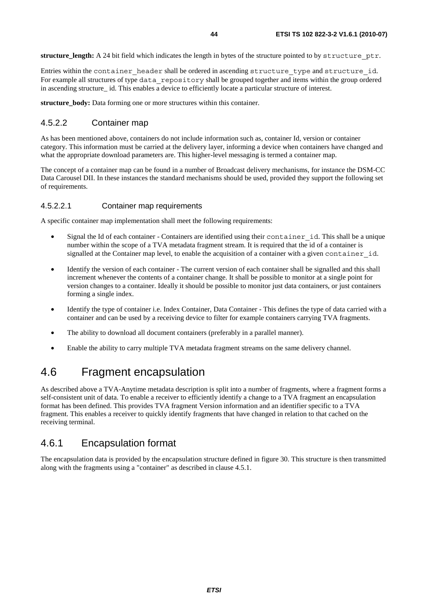**structure\_length:** A 24 bit field which indicates the length in bytes of the structure pointed to by structure\_ptr.

Entries within the container\_header shall be ordered in ascending structure\_type and structure\_id. For example all structures of type data\_repository shall be grouped together and items within the group ordered in ascending structure id. This enables a device to efficiently locate a particular structure of interest.

**structure** body: Data forming one or more structures within this container.

### 4.5.2.2 Container map

As has been mentioned above, containers do not include information such as, container Id, version or container category. This information must be carried at the delivery layer, informing a device when containers have changed and what the appropriate download parameters are. This higher-level messaging is termed a container map.

The concept of a container map can be found in a number of Broadcast delivery mechanisms, for instance the DSM-CC Data Carousel DII. In these instances the standard mechanisms should be used, provided they support the following set of requirements.

### 4.5.2.2.1 Container map requirements

A specific container map implementation shall meet the following requirements:

- Signal the Id of each container Containers are identified using their container id. This shall be a unique number within the scope of a TVA metadata fragment stream. It is required that the id of a container is signalled at the Container map level, to enable the acquisition of a container with a given container id.
- Identify the version of each container The current version of each container shall be signalled and this shall increment whenever the contents of a container change. It shall be possible to monitor at a single point for version changes to a container. Ideally it should be possible to monitor just data containers, or just containers forming a single index.
- Identify the type of container i.e. Index Container, Data Container This defines the type of data carried with a container and can be used by a receiving device to filter for example containers carrying TVA fragments.
- The ability to download all document containers (preferably in a parallel manner).
- Enable the ability to carry multiple TVA metadata fragment streams on the same delivery channel.

# 4.6 Fragment encapsulation

As described above a TVA-Anytime metadata description is split into a number of fragments, where a fragment forms a self-consistent unit of data. To enable a receiver to efficiently identify a change to a TVA fragment an encapsulation format has been defined. This provides TVA fragment Version information and an identifier specific to a TVA fragment. This enables a receiver to quickly identify fragments that have changed in relation to that cached on the receiving terminal.

# 4.6.1 Encapsulation format

The encapsulation data is provided by the encapsulation structure defined in figure 30. This structure is then transmitted along with the fragments using a "container" as described in clause 4.5.1.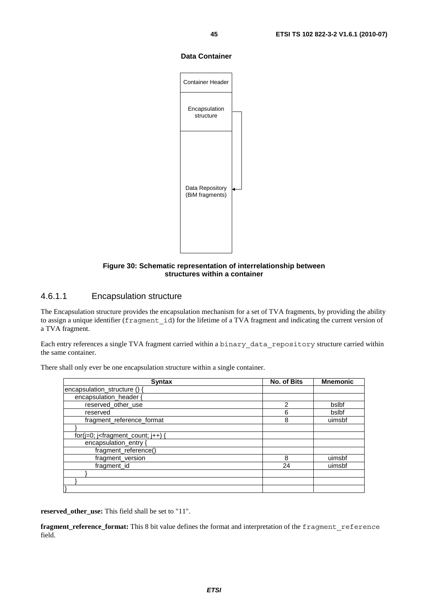#### **Data Container**



### **Figure 30: Schematic representation of interrelationship between structures within a container**

### 4.6.1.1 Encapsulation structure

The Encapsulation structure provides the encapsulation mechanism for a set of TVA fragments, by providing the ability to assign a unique identifier (fragment id) for the lifetime of a TVA fragment and indicating the current version of a TVA fragment.

Each entry references a single TVA fragment carried within a binary\_data\_repository structure carried within the same container.

| <b>Syntax</b>                               | No. of Bits   | <b>Mnemonic</b> |
|---------------------------------------------|---------------|-----------------|
| encapsulation_structure ()                  |               |                 |
| encapsulation header {                      |               |                 |
| reserved_other_use                          | $\mathcal{P}$ | bslbf           |
| reserved                                    | 6             | bslbf           |
| fragment reference format                   | 8             | uimsbf          |
|                                             |               |                 |
| for( $j=0$ ; $j$ -fragment_count; $j++$ ) { |               |                 |
| encapsulation_entry {                       |               |                 |
| fragment_reference()                        |               |                 |
| fragment_version                            | 8             | uimsbf          |
| fragment_id                                 | 24            | uimsbf          |
|                                             |               |                 |
|                                             |               |                 |
|                                             |               |                 |

There shall only ever be one encapsulation structure within a single container.

**reserved\_other\_use:** This field shall be set to "11".

**fragment\_reference\_format:** This 8 bit value defines the format and interpretation of the fragment reference field.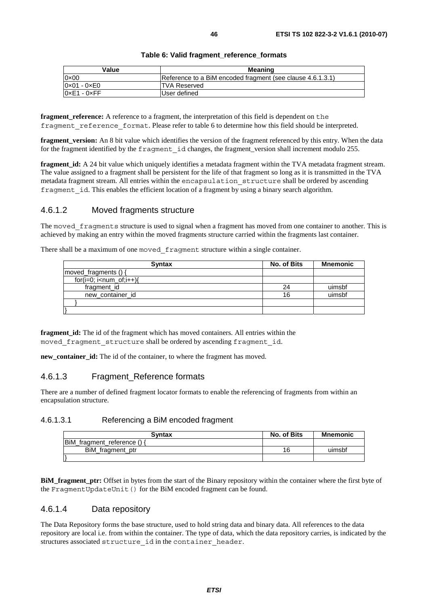| Table 6: Valid fragment_reference_formats |  |
|-------------------------------------------|--|
|-------------------------------------------|--|

| Value                       | Meaning                                                    |
|-----------------------------|------------------------------------------------------------|
| $0 \times 00$               | Reference to a BiM encoded fragment (see clause 4.6.1.3.1) |
| $0 \times 01 - 0 \times 00$ | <b>TVA Reserved</b>                                        |
| $0xE1 - 0xFF$               | User defined                                               |

**fragment** reference: A reference to a fragment, the interpretation of this field is dependent on the fragment reference format. Please refer to table 6 to determine how this field should be interpreted.

**fragment\_version:** An 8 bit value which identifies the version of the fragment referenced by this entry. When the data for the fragment identified by the fragment\_id changes, the fragment\_version shall increment modulo 255.

**fragment id:** A 24 bit value which uniquely identifies a metadata fragment within the TVA metadata fragment stream. The value assigned to a fragment shall be persistent for the life of that fragment so long as it is transmitted in the TVA metadata fragment stream. All entries within the encapsulation structure shall be ordered by ascending fragment id. This enables the efficient location of a fragment by using a binary search algorithm.

### 4.6.1.2 Moved fragments structure

The moved fragments structure is used to signal when a fragment has moved from one container to another. This is achieved by making an entry within the moved fragments structure carried within the fragments last container.

There shall be a maximum of one moved fragment structure within a single container.

| <b>Syntax</b>             | No. of Bits | Mnemonic |
|---------------------------|-------------|----------|
| moved_fragments () {      |             |          |
| $for(i=0; i< num_of;i++)$ |             |          |
| fragment_id               | 24          | uimsbf   |
| new_container_id          | 16          | uimsbf   |
|                           |             |          |
|                           |             |          |

**fragment id:** The id of the fragment which has moved containers. All entries within the moved fragment structure shall be ordered by ascending fragment id.

**new\_container\_id:** The id of the container, to where the fragment has moved.

### 4.6.1.3 Fragment\_Reference formats

There are a number of defined fragment locator formats to enable the referencing of fragments from within an encapsulation structure.

#### 4.6.1.3.1 Referencing a BiM encoded fragment

| <b>Syntax</b>             | No. of Bits | <b>Mnemonic</b> |
|---------------------------|-------------|-----------------|
| BiM fragment reference () |             |                 |
| BiM_fragment_ptr          | 16          | uimsbf          |
|                           |             |                 |

**BiM\_fragment\_ptr:** Offset in bytes from the start of the Binary repository within the container where the first byte of the FragmentUpdateUnit() for the BiM encoded fragment can be found.

### 4.6.1.4 Data repository

The Data Repository forms the base structure, used to hold string data and binary data. All references to the data repository are local i.e. from within the container. The type of data, which the data repository carries, is indicated by the structures associated structure id in the container header.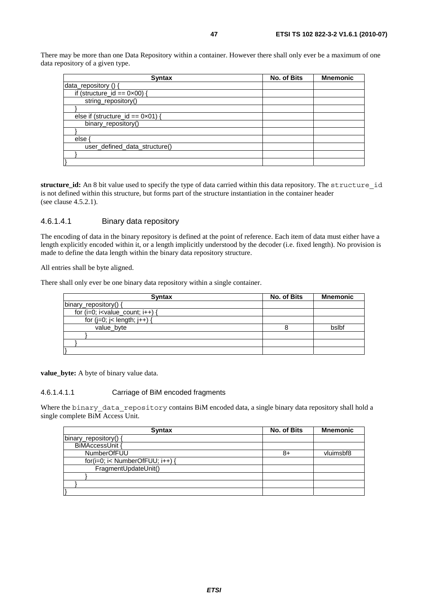There may be more than one Data Repository within a container. However there shall only ever be a maximum of one data repository of a given type.

| <b>Syntax</b>                              | No. of Bits | <b>Mnemonic</b> |
|--------------------------------------------|-------------|-----------------|
| data_repository () {                       |             |                 |
| if (structure_id == $0 \times 00$ ) {      |             |                 |
| string_repository()                        |             |                 |
|                                            |             |                 |
| else if (structure_id == $0 \times 01$ ) { |             |                 |
| binary_repository()                        |             |                 |
|                                            |             |                 |
| else ·                                     |             |                 |
| user_defined_data_structure()              |             |                 |
|                                            |             |                 |
|                                            |             |                 |

**structure\_id:** An 8 bit value used to specify the type of data carried within this data repository. The structure\_id is not defined within this structure, but forms part of the structure instantiation in the container header (see clause 4.5.2.1).

### 4.6.1.4.1 Binary data repository

The encoding of data in the binary repository is defined at the point of reference. Each item of data must either have a length explicitly encoded within it, or a length implicitly understood by the decoder (i.e. fixed length). No provision is made to define the data length within the binary data repository structure.

All entries shall be byte aligned.

There shall only ever be one binary data repository within a single container.

| <b>Syntax</b>                         | No. of Bits | <b>Mnemonic</b> |
|---------------------------------------|-------------|-----------------|
| binary_repository() {                 |             |                 |
| for $(i=0; i<$ value_count; $i++$ ) { |             |                 |
| for $(j=0; j<$ length; $j++$ ) {      |             |                 |
| value_byte                            |             | bslbf           |
|                                       |             |                 |
|                                       |             |                 |
|                                       |             |                 |

**value\_byte:** A byte of binary value data.

#### 4.6.1.4.1.1 Carriage of BiM encoded fragments

Where the binary data repository contains BiM encoded data, a single binary data repository shall hold a single complete BiM Access Unit.

| <b>Syntax</b>                   | No. of Bits | <b>Mnemonic</b> |
|---------------------------------|-------------|-----------------|
| binary_repository() {           |             |                 |
| BiMAccessUnit {                 |             |                 |
| NumberOfFUU                     | 8+          | vluimsbf8       |
| for(i=0; i< NumberOfFUU; i++) { |             |                 |
| FragmentUpdateUnit()            |             |                 |
|                                 |             |                 |
|                                 |             |                 |
|                                 |             |                 |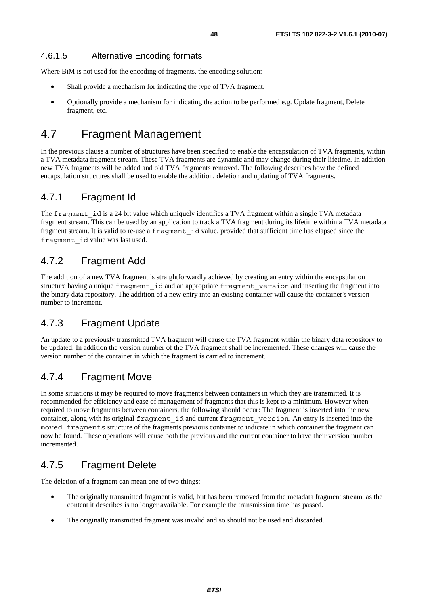### 4.6.1.5 Alternative Encoding formats

Where BiM is not used for the encoding of fragments, the encoding solution:

- Shall provide a mechanism for indicating the type of TVA fragment.
- Optionally provide a mechanism for indicating the action to be performed e.g. Update fragment, Delete fragment, etc.

# 4.7 Fragment Management

In the previous clause a number of structures have been specified to enable the encapsulation of TVA fragments, within a TVA metadata fragment stream. These TVA fragments are dynamic and may change during their lifetime. In addition new TVA fragments will be added and old TVA fragments removed. The following describes how the defined encapsulation structures shall be used to enable the addition, deletion and updating of TVA fragments.

# 4.7.1 Fragment Id

The fragment id is a 24 bit value which uniquely identifies a TVA fragment within a single TVA metadata fragment stream. This can be used by an application to track a TVA fragment during its lifetime within a TVA metadata fragment stream. It is valid to re-use a fragment\_id value, provided that sufficient time has elapsed since the fragment\_id value was last used.

# 4.7.2 Fragment Add

The addition of a new TVA fragment is straightforwardly achieved by creating an entry within the encapsulation structure having a unique fragment\_id and an appropriate fragment\_version and inserting the fragment into the binary data repository. The addition of a new entry into an existing container will cause the container's version number to increment.

# 4.7.3 Fragment Update

An update to a previously transmitted TVA fragment will cause the TVA fragment within the binary data repository to be updated. In addition the version number of the TVA fragment shall be incremented. These changes will cause the version number of the container in which the fragment is carried to increment.

# 4.7.4 Fragment Move

In some situations it may be required to move fragments between containers in which they are transmitted. It is recommended for efficiency and ease of management of fragments that this is kept to a minimum. However when required to move fragments between containers, the following should occur: The fragment is inserted into the new container, along with its original fragment\_id and current fragment\_version. An entry is inserted into the moved fragments structure of the fragments previous container to indicate in which container the fragment can now be found. These operations will cause both the previous and the current container to have their version number incremented.

# 4.7.5 Fragment Delete

The deletion of a fragment can mean one of two things:

- The originally transmitted fragment is valid, but has been removed from the metadata fragment stream, as the content it describes is no longer available. For example the transmission time has passed.
- The originally transmitted fragment was invalid and so should not be used and discarded.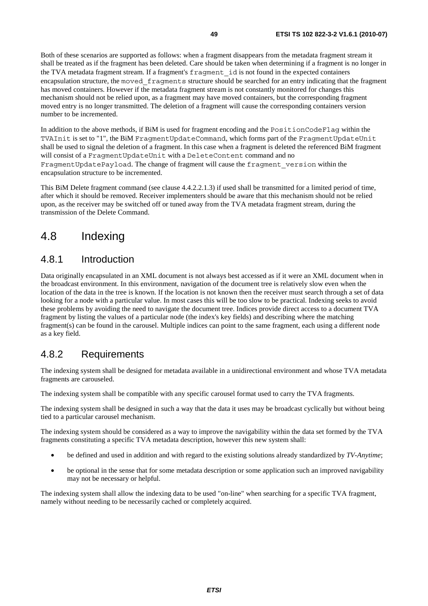Both of these scenarios are supported as follows: when a fragment disappears from the metadata fragment stream it shall be treated as if the fragment has been deleted. Care should be taken when determining if a fragment is no longer in the TVA metadata fragment stream. If a fragment's fragment\_id is not found in the expected containers encapsulation structure, the moved\_fragments structure should be searched for an entry indicating that the fragment has moved containers. However if the metadata fragment stream is not constantly monitored for changes this mechanism should not be relied upon, as a fragment may have moved containers, but the corresponding fragment moved entry is no longer transmitted. The deletion of a fragment will cause the corresponding containers version number to be incremented.

In addition to the above methods, if BiM is used for fragment encoding and the PositionCodeFlag within the TVAInit is set to "1", the BiM FragmentUpdateCommand, which forms part of the FragmentUpdateUnit shall be used to signal the deletion of a fragment. In this case when a fragment is deleted the referenced BiM fragment will consist of a FragmentUpdateUnit with a DeleteContent command and no FragmentUpdatePayload. The change of fragment will cause the fragment\_version within the encapsulation structure to be incremented.

This BiM Delete fragment command (see clause 4.4.2.2.1.3) if used shall be transmitted for a limited period of time, after which it should be removed. Receiver implementers should be aware that this mechanism should not be relied upon, as the receiver may be switched off or tuned away from the TVA metadata fragment stream, during the transmission of the Delete Command.

# 4.8 Indexing

# 4.8.1 Introduction

Data originally encapsulated in an XML document is not always best accessed as if it were an XML document when in the broadcast environment. In this environment, navigation of the document tree is relatively slow even when the location of the data in the tree is known. If the location is not known then the receiver must search through a set of data looking for a node with a particular value. In most cases this will be too slow to be practical. Indexing seeks to avoid these problems by avoiding the need to navigate the document tree. Indices provide direct access to a document TVA fragment by listing the values of a particular node (the index's key fields) and describing where the matching fragment(s) can be found in the carousel. Multiple indices can point to the same fragment, each using a different node as a key field.

# 4.8.2 Requirements

The indexing system shall be designed for metadata available in a unidirectional environment and whose TVA metadata fragments are carouseled.

The indexing system shall be compatible with any specific carousel format used to carry the TVA fragments.

The indexing system shall be designed in such a way that the data it uses may be broadcast cyclically but without being tied to a particular carousel mechanism.

The indexing system should be considered as a way to improve the navigability within the data set formed by the TVA fragments constituting a specific TVA metadata description, however this new system shall:

- be defined and used in addition and with regard to the existing solutions already standardized by *TV-Anytime*;
- be optional in the sense that for some metadata description or some application such an improved navigability may not be necessary or helpful.

The indexing system shall allow the indexing data to be used "on-line" when searching for a specific TVA fragment, namely without needing to be necessarily cached or completely acquired.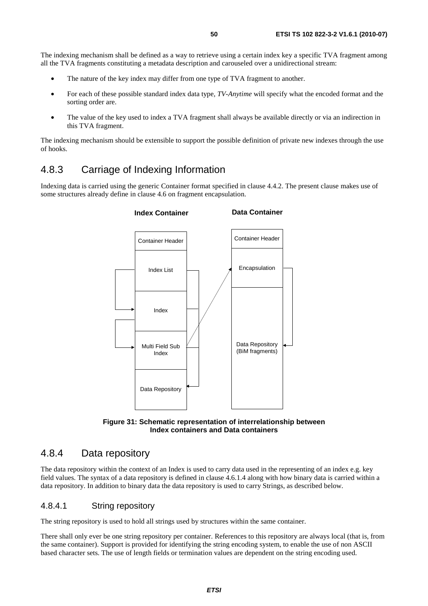The indexing mechanism shall be defined as a way to retrieve using a certain index key a specific TVA fragment among all the TVA fragments constituting a metadata description and carouseled over a unidirectional stream:

- The nature of the key index may differ from one type of TVA fragment to another.
- For each of these possible standard index data type, *TV-Anytime* will specify what the encoded format and the sorting order are.
- The value of the key used to index a TVA fragment shall always be available directly or via an indirection in this TVA fragment.

The indexing mechanism should be extensible to support the possible definition of private new indexes through the use of hooks.

# 4.8.3 Carriage of Indexing Information

Indexing data is carried using the generic Container format specified in clause 4.4.2. The present clause makes use of some structures already define in clause 4.6 on fragment encapsulation.





# 4.8.4 Data repository

The data repository within the context of an Index is used to carry data used in the representing of an index e.g. key field values. The syntax of a data repository is defined in clause 4.6.1.4 along with how binary data is carried within a data repository. In addition to binary data the data repository is used to carry Strings, as described below.

### 4.8.4.1 String repository

The string repository is used to hold all strings used by structures within the same container.

There shall only ever be one string repository per container. References to this repository are always local (that is, from the same container). Support is provided for identifying the string encoding system, to enable the use of non ASCII based character sets. The use of length fields or termination values are dependent on the string encoding used.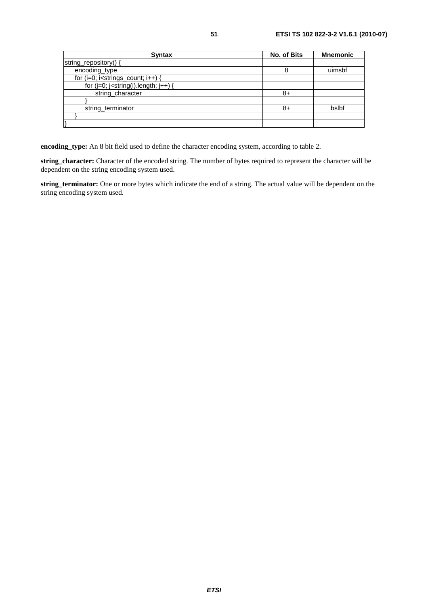| <b>Syntax</b>                                                  | <b>No. of Bits</b> | <b>Mnemonic</b> |
|----------------------------------------------------------------|--------------------|-----------------|
| string_repository() {                                          |                    |                 |
| encoding_type                                                  | 8                  | uimsbf          |
| for $(i=0; i$ <strings_count; <math="">i++) {</strings_count;> |                    |                 |
| for $(j=0; j<$ string $(i)$ .length; $j++$ ) {                 |                    |                 |
| string_character                                               | 8+                 |                 |
|                                                                |                    |                 |
| string terminator                                              | 8+                 | bslbf           |
|                                                                |                    |                 |
|                                                                |                    |                 |

**encoding\_type:** An 8 bit field used to define the character encoding system, according to table 2.

**string\_character:** Character of the encoded string. The number of bytes required to represent the character will be dependent on the string encoding system used.

**string\_terminator:** One or more bytes which indicate the end of a string. The actual value will be dependent on the string encoding system used.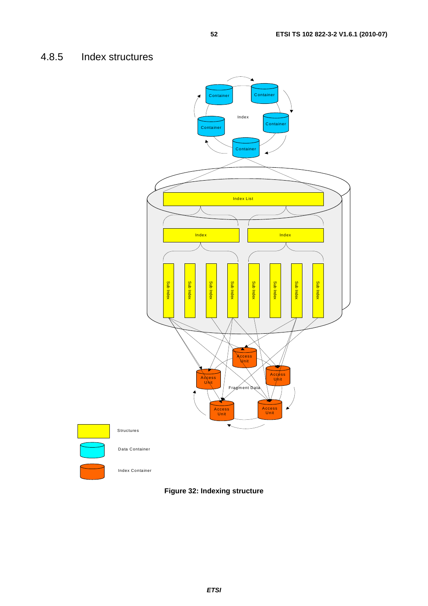# 4.8.5 Index structures



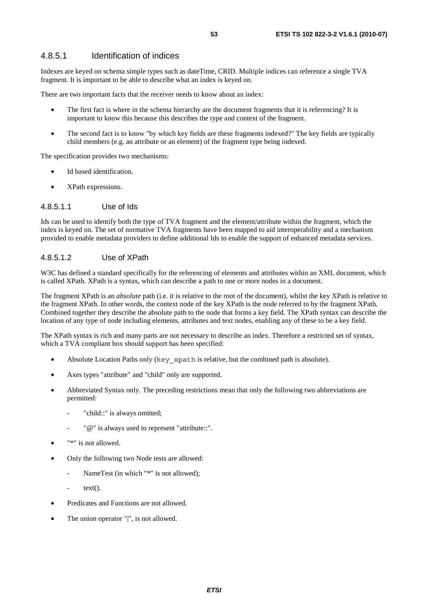### 4.8.5.1 Identification of indices

Indexes are keyed on schema simple types such as dateTime, CRID. Multiple indices can reference a single TVA fragment. It is important to be able to describe what an index is keyed on.

There are two important facts that the receiver needs to know about an index:

- The first fact is where in the schema hierarchy are the document fragments that it is referencing? It is important to know this because this describes the type and context of the fragment.
- The second fact is to know "by which key fields are these fragments indexed?" The key fields are typically child members (e.g. an attribute or an element) of the fragment type being indexed.

The specification provides two mechanisms:

- Id based identification.
- XPath expressions.

#### 4.8.5.1.1 Use of Ids

Ids can be used to identify both the type of TVA fragment and the element/attribute within the fragment, which the index is keyed on. The set of normative TVA fragments have been mapped to aid interoperability and a mechanism provided to enable metadata providers to define additional Ids to enable the support of enhanced metadata services.

### 4.8.5.1.2 Use of XPath

W3C has defined a standard specifically for the referencing of elements and attributes within an XML document, which is called XPath. XPath is a syntax, which can describe a path to one or more nodes in a document.

The fragment XPath is an *absolute* path (i.e. it is relative to the root of the document), whilst the key XPath is relative to the fragment XPath. In other words, the context node of the key XPath is the node referred to by the fragment XPath. Combined together they describe the absolute path to the node that forms a key field. The XPath syntax can describe the location of any type of node including elements, attributes and text nodes, enabling any of these to be a key field.

The XPath syntax is rich and many parts are not necessary to describe an index. Therefore a restricted set of syntax, which a TVA compliant box should support has been specified:

- Absolute Location Paths only (key xpath is relative, but the combined path is absolute).
- Axes types "attribute" and "child" only are supported.
- Abbreviated Syntax only. The preceding restrictions mean that only the following two abbreviations are permitted:
	- "child::" is always omitted;
	- "@" is always used to represent "attribute::".
- "\*" is not allowed.
- Only the following two Node tests are allowed:
	- NameTest (in which "\*" is not allowed);
		- $text()$ .
- Predicates and Functions are not allowed.
- The union operator "|", is not allowed.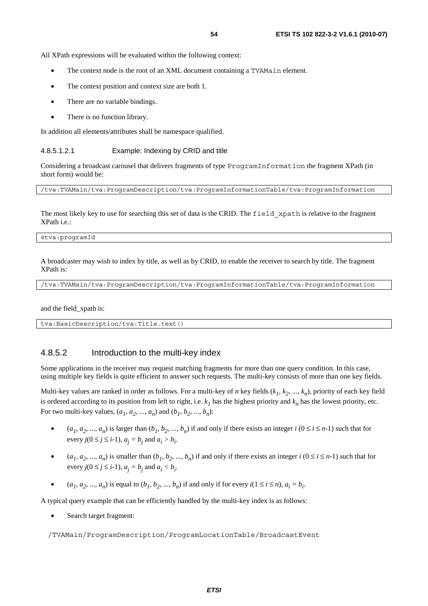All XPath expressions will be evaluated within the following context:

- The context node is the root of an XML document containing a TVAMa<sub>in</sub> element.
- The context position and context size are both 1.
- There are no variable bindings.
- There is no function library.

In addition all elements/attributes shall be namespace qualified.

#### 4.8.5.1.2.1 Example: Indexing by CRID and title

Considering a broadcast carousel that delivers fragments of type ProgramInformation the fragment XPath (in short form) would be:

/tva:TVAMain/tva:ProgramDescription/tva:ProgramInformationTable/tva:ProgramInformation

The most likely key to use for searching this set of data is the CRID. The field xpath is relative to the fragment XPath i.e.:

@tva:programId

A broadcaster may wish to index by title, as well as by CRID, to enable the receiver to search by title. The fragment XPath is:

/tva:TVAMain/tva:ProgramDescription/tva:ProgramInformationTable/tva:ProgramInformation

and the field\_xpath is:

tva:BasicDescription/tva:Title.text()

### 4.8.5.2 Introduction to the multi-key index

Some applications in the receiver may request matching fragments for more than one query condition. In this case, using multiple key fields is quite efficient to answer such requests. The multi-key consists of more than one key fields.

Multi-key values are ranked in order as follows. For a multi-key of *n* key fields  $(k_1, k_2, ..., k_n)$ , priority of each key field is ordered according to its position from left to right, i.e.  $k<sub>1</sub>$  has the highest priority and  $k<sub>n</sub>$  has the lowest priority, etc. For two multi-key values,  $(a_1, a_2, ..., a_n)$  and  $(b_1, b_2, ..., b_n)$ :

- $(a_1, a_2, ..., a_n)$  is larger than  $(b_1, b_2, ..., b_n)$  if and only if there exists an integer  $i$   $(0 \le i \le n-1)$  such that for every  $j(0 \le j \le i-1)$ ,  $a_j = b_j$  and  $a_i > b_i$ .
- $(a_1, a_2, ..., a_n)$  is smaller than  $(b_1, b_2, ..., b_n)$  if and only if there exists an integer  $i$   $(0 \le i \le n-1)$  such that for every  $j(0 \le j \le i-1)$ ,  $a_j = b_j$  and  $a_i < b_i$ .
- $(a_1, a_2, ..., a_n)$  is equal to  $(b_1, b_2, ..., b_n)$  if and only if for every  $i(1 \le i \le n)$ ,  $a_i = b_i$ .

A typical query example that can be efficiently handled by the multi-key index is as follows:

Search target fragment:

/TVAMain/ProgramDescription/ProgramLocationTable/BroadcastEvent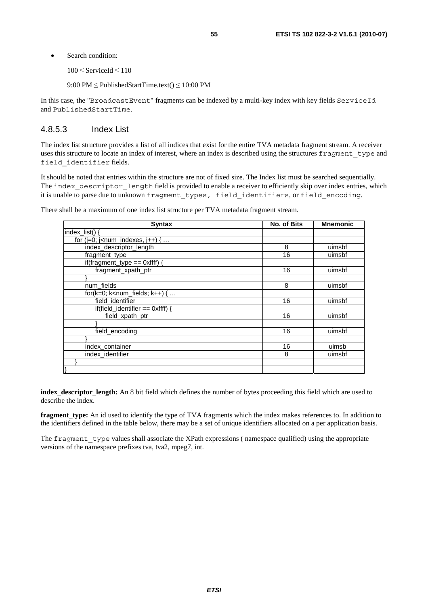- Search condition:
	- <sup>100</sup>≤ ServiceId ≤<sup>110</sup>
	- 9:00 PM ≤ PublishedStartTime.text() ≤ 10:00 PM

In this case, the "BroadcastEvent" fragments can be indexed by a multi-key index with key fields ServiceId and PublishedStartTime.

### 4.8.5.3 Index List

The index list structure provides a list of all indices that exist for the entire TVA metadata fragment stream. A receiver uses this structure to locate an index of interest, where an index is described using the structures fragment type and field\_identifier fields.

It should be noted that entries within the structure are not of fixed size. The Index list must be searched sequentially. The index descriptor length field is provided to enable a receiver to efficiently skip over index entries, which it is unable to parse due to unknown fragment\_types, field\_identifiers, or field\_encoding.

There shall be a maximum of one index list structure per TVA metadata fragment stream.

| <b>Syntax</b>                                                   | <b>No. of Bits</b> | <b>Mnemonic</b> |
|-----------------------------------------------------------------|--------------------|-----------------|
| index_list() {                                                  |                    |                 |
| for ( $j=0$ ; $j$ <num_indexes, <math="">j++) { </num_indexes,> |                    |                 |
| index_descriptor_length                                         | 8                  | uimsbf          |
| fragment type                                                   | 16                 | uimsbf          |
| if(fragment_type == $0$ xffff) {                                |                    |                 |
| fragment xpath ptr                                              | 16                 | uimsbf          |
|                                                                 |                    |                 |
| num_fields                                                      | 8                  | uimsbf          |
| for( $k=0$ ; $k=num$ fields; $k++$ ) {                          |                    |                 |
| field_identifier                                                | 16                 | uimsbf          |
| if(field_identifier == $0$ xffff) {                             |                    |                 |
| field_xpath_ptr                                                 | 16                 | uimsbf          |
|                                                                 |                    |                 |
| field_encoding                                                  | 16                 | uimsbf          |
|                                                                 |                    |                 |
| index_container                                                 | 16                 | uimsb           |
| index_identifier                                                | 8                  | uimsbf          |
|                                                                 |                    |                 |
|                                                                 |                    |                 |

**index** descriptor length: An 8 bit field which defines the number of bytes proceeding this field which are used to describe the index.

**fragment\_type:** An id used to identify the type of TVA fragments which the index makes references to. In addition to the identifiers defined in the table below, there may be a set of unique identifiers allocated on a per application basis.

The fragment type values shall associate the XPath expressions ( namespace qualified) using the appropriate versions of the namespace prefixes tva, tva2, mpeg7, int.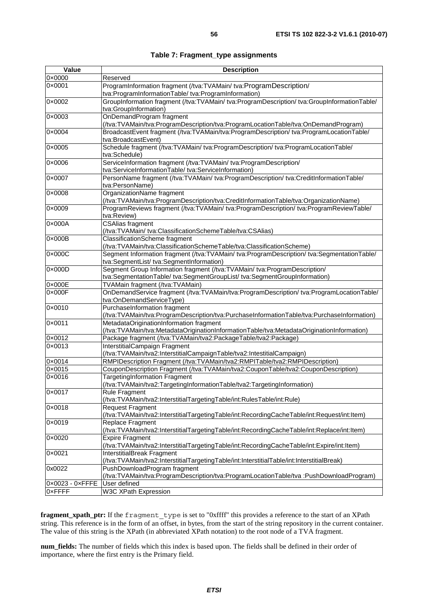| Value                           | <b>Description</b>                                                                                                      |
|---------------------------------|-------------------------------------------------------------------------------------------------------------------------|
| 0x0000                          | Reserved                                                                                                                |
| 0×0001                          | ProgramInformation fragment (/tva:TVAMain/ tva:ProgramDescription/                                                      |
|                                 | tva:ProgramInformationTable/tva:ProgramInformation)                                                                     |
| 0×0002                          | GroupInformation fragment (/tva:TVAMain/ tva:ProgramDescription/ tva:GroupInformationTable/                             |
|                                 | tva:GroupInformation)                                                                                                   |
| 0×0003                          | OnDemandProgram fragment                                                                                                |
|                                 | (/tva:TVAMain/tva:ProgramDescription/tva:ProgramLocationTable/tva:OnDemandProgram)                                      |
| 0×0004                          | BroadcastEvent fragment (/tva:TVAMain/tva:ProgramDescription/ tva:ProgramLocationTable/                                 |
|                                 | tva:BroadcastEvent)                                                                                                     |
| 0×0005                          | Schedule fragment (/tva:TVAMain/ tva:ProgramDescription/ tva:ProgramLocationTable/                                      |
|                                 | tva:Schedule)                                                                                                           |
| 0×0006                          | ServiceInformation fragment (/tva:TVAMain/ tva:ProgramDescription/                                                      |
|                                 | tva:ServiceInformationTable/ tva:ServiceInformation)                                                                    |
| 0×0007                          | PersonName fragment (/tva:TVAMain/ tva:ProgramDescription/ tva:CreditInformationTable/                                  |
|                                 | tva:PersonName)                                                                                                         |
| 0×0008                          | OrganizationName fragment                                                                                               |
|                                 | (/tva:TVAMain/tva:ProgramDescription/tva:CreditInformationTable/tva:OrganizationName)                                   |
| 0×0009                          | ProgramReviews fragment (/tva:TVAMain/ tva:ProgramDescription/ tva:ProgramReviewTable/                                  |
|                                 | tva:Review)                                                                                                             |
| 0×000A                          | <b>CSAlias fragment</b>                                                                                                 |
|                                 | (/tva:TVAMain/ tva:ClassificationSchemeTable/tva:CSAlias)                                                               |
| 0×000B                          | <b>ClassificationScheme fragment</b>                                                                                    |
|                                 | (/tva:TVAMain/tva:ClassificationSchemeTable/tva:ClassificationScheme)                                                   |
| $0 \times 000C$                 | Segment Information fragment (/tva:TVAMain/ tva:ProgramDescription/ tva:SegmentationTable/                              |
|                                 | tva:SegmentList/ tva:SegmentInformation)                                                                                |
| 0×000D                          | Segment Group Information fragment (/tva:TVAMain/ tva:ProgramDescription/                                               |
|                                 | tva:SegmentationTable/ tva:SegmentGroupList/ tva:SegmentGroupInformation)                                               |
| 0×000E                          | TVAMain fragment (/tva:TVAMain)                                                                                         |
| 0×000F                          | OnDemandService fragment (/tva:TVAMain/tva:ProgramDescription/ tva:ProgramLocationTable/                                |
|                                 | tva:OnDemandServiceType)                                                                                                |
| 0×0010                          | PurchaseInformation fragment                                                                                            |
|                                 | (/tva:TVAMain/tva:ProgramDescription/tva:PurchaseInformationTable/tva:PurchaseInformation)                              |
| 0×0011                          | MetadataOriginationInformation fragment                                                                                 |
|                                 | (/tva:TVAMain/tva:MetadataOriginationInformationTable/tva:MetadataOriginationInformation)                               |
| 0×0012                          | Package fragment (/tva:TVAMain/tva2:PackageTable/tva2:Package)                                                          |
| 0×0013                          | InterstitialCampaign Fragment                                                                                           |
|                                 | (/tva:TVAMain/tva2:InterstitialCampaignTable/tva2:IntestitialCampaign)                                                  |
| 0×0014                          | RMPIDescription Fragment (/tva:TVAMain/tva2:RMPITable/tva2:RMPIDescription)                                             |
| $0 \times 0015$                 | CouponDescription Fragment (/tva:TVAMain/tva2:CouponTable/tva2:CouponDescription)                                       |
| 0×0016                          | <b>TargetingInformation Fragment</b>                                                                                    |
|                                 | (/tva:TVAMain/tva2:TargetingInformationTable/tva2:TargetingInformation)                                                 |
| 0×0017                          | <b>Rule Fragment</b>                                                                                                    |
|                                 | (/tva:TVAMain/tva2:InterstitialTargetingTable/int:RulesTable/int:Rule)                                                  |
| 0×0018                          | <b>Request Fragment</b>                                                                                                 |
|                                 | (/tva:TVAMain/tva2:InterstitialTargetingTable/int:RecordingCacheTable/int:Request/int:Item)                             |
| 0×0019                          | Replace Fragment                                                                                                        |
|                                 | (/tva:TVAMain/tva2:InterstitialTargetingTable/int:RecordingCacheTable/int:Replace/int:Item)                             |
| 0×0020                          | <b>Expire Fragment</b>                                                                                                  |
|                                 | (/tva:TVAMain/tva2:InterstitialTargetingTable/int:RecordingCacheTable/int:Expire/int:Item)                              |
| 0×0021                          | InterstitialBreak Fragment                                                                                              |
|                                 | (/tva:TVAMain/tva2:InterstitialTargetingTable/int:InterstitialTable/int:InterstitialBreak)                              |
| 0x0022                          | PushDownloadProgram fragment<br>(/tva:TVAMain/tva:ProgramDescription/tva:ProgramLocationTable/tva :PushDownloadProgram) |
| $0 \times 0023 - 0 \times$ FFFE | User defined                                                                                                            |
| 0xFFFF                          | <b>W3C XPath Expression</b>                                                                                             |
|                                 |                                                                                                                         |

**fragment\_xpath\_ptr:** If the fragment type is set to "0xffff" this provides a reference to the start of an XPath string. This reference is in the form of an offset, in bytes, from the start of the string repository in the current container. The value of this string is the XPath (in abbreviated XPath notation) to the root node of a TVA fragment.

**num\_fields:** The number of fields which this index is based upon. The fields shall be defined in their order of importance, where the first entry is the Primary field.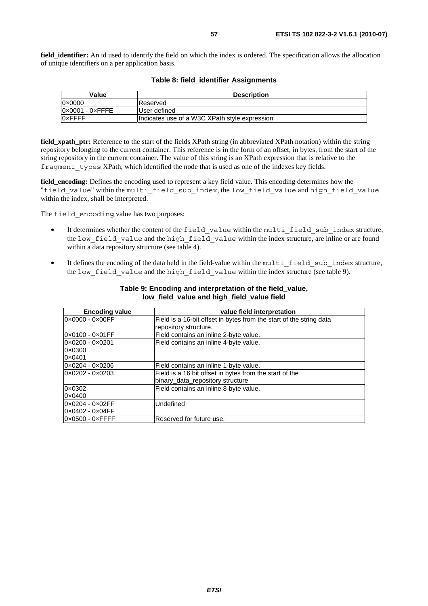| Value                           | <b>Description</b>                            |
|---------------------------------|-----------------------------------------------|
| $0 \times 0000$                 | Reserved                                      |
| $0 \times 0001 - 0 \times$ FFFE | User defined                                  |
| <b>OxFFFF</b>                   | Indicates use of a W3C XPath style expression |

### **Table 8: field\_identifier Assignments**

**field xpath ptr:** Reference to the start of the fields XPath string (in abbreviated XPath notation) within the string repository belonging to the current container. This reference is in the form of an offset, in bytes, from the start of the string repository in the current container. The value of this string is an XPath expression that is relative to the fragment types XPath, which identified the node that is used as one of the indexes key fields.

**field\_encoding:** Defines the encoding used to represent a key field value. This encoding determines how the "field value" within the multi field sub index, the low field value and high field value within the index, shall be interpreted.

The field encoding value has two purposes:

- It determines whether the content of the field value within the multi field sub index structure, the low field value and the high field value within the index structure, are inline or are found within a data repository structure (see table 4).
- It defines the encoding of the data held in the field-value within the multi field sub index structure, the low field value and the high field value within the index structure (see table 9).

| <b>Encoding value</b>           | value field interpretation                                          |
|---------------------------------|---------------------------------------------------------------------|
| 0×0000 - 0×00FF                 | Field is a 16-bit offset in bytes from the start of the string data |
|                                 | repository structure.                                               |
| 0x0100 - 0x01FF                 | Field contains an inline 2-byte value.                              |
| 0×0200 - 0×0201                 | Field contains an inline 4-byte value.                              |
| 0×0300                          |                                                                     |
| 0×0401                          |                                                                     |
| 0×0204 - 0×0206                 | Field contains an inline 1-byte value.                              |
| 0×0202 - 0×0203                 | Field is a 16 bit offset in bytes from the start of the             |
|                                 | binary_data_repository structure                                    |
| 0×0302                          | Field contains an inline 8-byte value.                              |
| 0×0400                          |                                                                     |
| 0x0204 - 0x02FF                 | Undefined                                                           |
| 0x0402 - 0x04FF                 |                                                                     |
| $0 \times 0500 - 0 \times$ FFFF | Reserved for future use.                                            |

#### **Table 9: Encoding and interpretation of the field\_value, low\_field\_value and high\_field\_value field**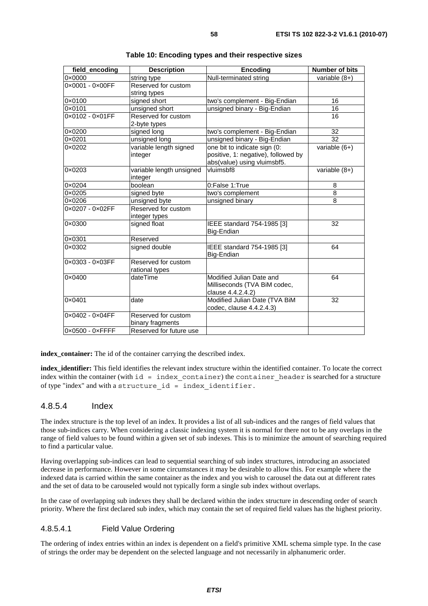| field_encoding  | <b>Description</b>                  | <b>Encoding</b>                          | <b>Number of bits</b>             |
|-----------------|-------------------------------------|------------------------------------------|-----------------------------------|
| 0×0000          | string type                         | Null-terminated string                   | variable $(8+)$                   |
| 0×0001 - 0×00FF | Reserved for custom                 |                                          |                                   |
|                 | string types                        |                                          |                                   |
| 0×0100          | signed short                        | two's complement - Big-Endian            | 16                                |
| 0×0101          | unsigned short                      | unsigned binary - Big-Endian             | 16                                |
| 0×0102 - 0×01FF | Reserved for custom                 |                                          | 16                                |
|                 | 2-byte types                        |                                          |                                   |
| 0×0200          | signed long                         | two's complement - Big-Endian            | 32                                |
| 0×0201          | unsigned long                       | unsigned binary - Big-Endian             | 32                                |
| 0×0202          | variable length signed              | one bit to indicate sign (0:             | $\overline{\text{variable}}$ (6+) |
|                 | integer                             | positive, 1: negative), followed by      |                                   |
|                 |                                     | abs(value) using vluimsbf5.              |                                   |
| 0×0203          | variable length unsigned<br>integer | vluimsbf8                                | variable $(8+)$                   |
| 0×0204          | boolean                             | 0:False 1:True                           | 8                                 |
| 0×0205          | signed byte                         | two's complement                         | 8                                 |
| 0×0206          | unsigned byte                       | unsigned binary                          | 8                                 |
| 0×0207 - 0×02FF | Reserved for custom                 |                                          |                                   |
|                 | integer types                       |                                          |                                   |
| 0×0300          | signed float                        | IEEE standard 754-1985 [3]               | 32                                |
|                 |                                     | Big-Endian                               |                                   |
| 0×0301          | Reserved                            |                                          |                                   |
| 0×0302          | signed double                       | IEEE standard 754-1985 [3]<br>Big-Endian | 64                                |
| 0×0303 - 0×03FF | Reserved for custom                 |                                          |                                   |
|                 | rational types                      |                                          |                                   |
| 0×0400          | dateTime                            | Modified Julian Date and                 | 64                                |
|                 |                                     | Milliseconds (TVA BiM codec,             |                                   |
|                 |                                     | clause 4.4.2.4.2)                        |                                   |
| 0×0401          | date                                | Modified Julian Date (TVA BiM            | 32                                |
|                 |                                     | codec, clause 4.4.2.4.3)                 |                                   |
| 0×0402 - 0×04FF | Reserved for custom                 |                                          |                                   |
|                 | binary fragments                    |                                          |                                   |
| 0×0500 - 0×FFFF | Reserved for future use             |                                          |                                   |

**index\_container:** The id of the container carrying the described index.

**index\_identifier:** This field identifies the relevant index structure within the identified container. To locate the correct index within the container (with  $id = index content$  container) the container header is searched for a structure of type "index" and with a structure\_id = index\_identifier.

### 4.8.5.4 Index

The index structure is the top level of an index. It provides a list of all sub-indices and the ranges of field values that those sub-indices carry. When considering a classic indexing system it is normal for there not to be any overlaps in the range of field values to be found within a given set of sub indexes. This is to minimize the amount of searching required to find a particular value.

Having overlapping sub-indices can lead to sequential searching of sub index structures, introducing an associated decrease in performance. However in some circumstances it may be desirable to allow this. For example where the indexed data is carried within the same container as the index and you wish to carousel the data out at different rates and the set of data to be carouseled would not typically form a single sub index without overlaps.

In the case of overlapping sub indexes they shall be declared within the index structure in descending order of search priority. Where the first declared sub index, which may contain the set of required field values has the highest priority.

### 4.8.5.4.1 Field Value Ordering

The ordering of index entries within an index is dependent on a field's primitive XML schema simple type. In the case of strings the order may be dependent on the selected language and not necessarily in alphanumeric order.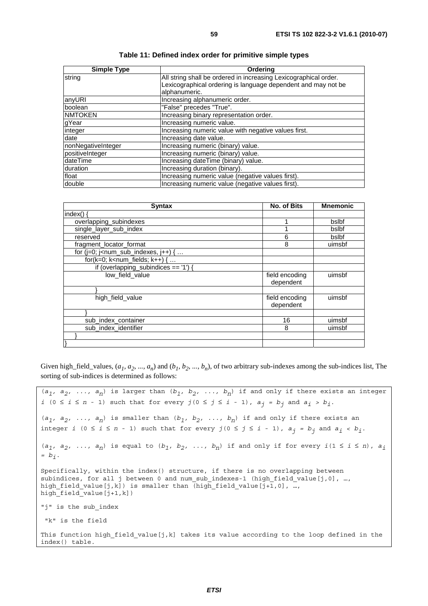| <b>Simple Type</b> | Ordering                                                         |  |
|--------------------|------------------------------------------------------------------|--|
| string             | All string shall be ordered in increasing Lexicographical order. |  |
|                    | Lexicographical ordering is language dependent and may not be    |  |
|                    | alphanumeric.                                                    |  |
| anyURI             | Increasing alphanumeric order.                                   |  |
| boolean            | "False" precedes "True".                                         |  |
| <b>NMTOKEN</b>     | Increasing binary representation order.                          |  |
| gYear              | Increasing numeric value.                                        |  |
| integer            | Increasing numeric value with negative values first.             |  |
| date               | Increasing date value.                                           |  |
| nonNegativeInteger | Increasing numeric (binary) value.                               |  |
| positiveInteger    | Increasing numeric (binary) value.                               |  |
| dateTime           | Increasing dateTime (binary) value.                              |  |
| duration           | Increasing duration (binary).                                    |  |
| float              | Increasing numeric value (negative values first).                |  |
| double             | Increasing numeric value (negative values first).                |  |

**Table 11: Defined index order for primitive simple types** 

| <b>Syntax</b>                             | <b>No. of Bits</b> | <b>Mnemonic</b> |
|-------------------------------------------|--------------------|-----------------|
| index()                                   |                    |                 |
| overlapping_subindexes                    |                    | bslbf           |
| single layer sub index                    |                    | bslbf           |
| reserved                                  | 6                  | bslbf           |
| fragment_locator_format                   | 8                  | uimsbf          |
| for $(i=0; j<$ num_sub_indexes, $j++$ ) { |                    |                 |
| for( $k=0$ ; $k<$ num_fields; $k++$ ) {   |                    |                 |
| if (overlapping_subindices == $'1'$ ) {   |                    |                 |
| low_field_value                           | field encoding     | uimsbf          |
|                                           | dependent          |                 |
|                                           |                    |                 |
| high_field_value                          | field encoding     | uimsbf          |
|                                           | dependent          |                 |
|                                           |                    |                 |
| sub_index_container                       | 16                 | uimsbf          |
| sub_index_identifier                      | 8                  | uimsbf          |
|                                           |                    |                 |
|                                           |                    |                 |

Given high\_field\_values,  $(a_1, a_2, ..., a_n)$  and  $(b_1, b_2, ..., b_n)$ , of two arbitrary sub-indexes among the sub-indices list, The sorting of sub-indices is determined as follows:

```
(a_1, a_2, \ldots, a_n) is larger than (b_1, b_2, \ldots, b_n) if and only if there exists an integer
i (0 ≤ i ≤ n - 1) such that for every j (0 ≤ j ≤ i - 1), a_j = b_j and a_j > b_j.
(a_1, a_2, \ldots, a_n) is smaller than (b_1, b_2, \ldots, b_n) if and only if there exists an
integer i (0 ≤ i ≤ n - 1) such that for every j(0 ≤ j ≤ i - 1), aj = bj and ai < bi. 
(a_1, a_2, \ldots, a_n) is equal to (b_1, b_2, \ldots, b_n) if and only if for every i(1 \leq i \leq n), a_i= bi. 
Specifically, within the index() structure, if there is no overlapping between 
subindices, for all j between 0 and num sub indexes-1 (high field value[j,0], …,
high_field_value[j,k]) is smaller than (high_field_value[j+1,0], …,
high\overline{field}value[j+1,k])"j" is the sub_index 
  "k" is the field
This function high field value[j,k] takes its value according to the loop defined in the
index() table.
```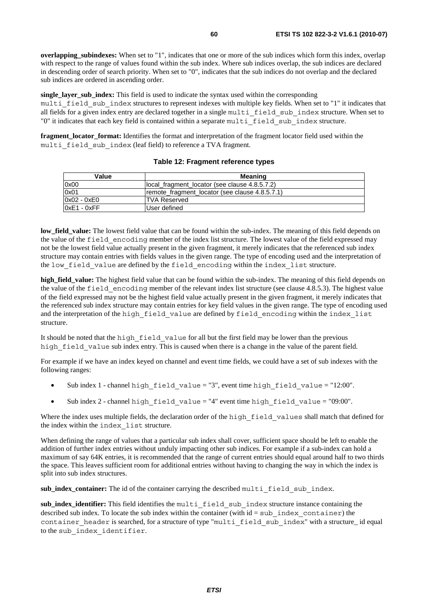**overlapping** subindexes: When set to "1", indicates that one or more of the sub indices which form this index, overlap with respect to the range of values found within the sub index. Where sub indices overlap, the sub indices are declared in descending order of search priority. When set to "0", indicates that the sub indices do not overlap and the declared sub indices are ordered in ascending order.

**single layer sub index:** This field is used to indicate the syntax used within the corresponding multi field sub index structures to represent indexes with multiple key fields. When set to "1" it indicates that all fields for a given index entry are declared together in a single multi field sub index structure. When set to "0" it indicates that each key field is contained within a separate multi\_field\_sub\_index structure.

**fragment\_locator\_format:** Identifies the format and interpretation of the fragment locator field used within the multi field sub index (leaf field) to reference a TVA fragment.

| Value        | Meaning                                        |  |
|--------------|------------------------------------------------|--|
| 0x00         | llocal fragment locator (see clause 4.8.5.7.2) |  |
| 0x01         | remote_fragment_locator (see clause 4.8.5.7.1) |  |
| 0x02 - 0xE0  | ITVA Reserved                                  |  |
| l0xE1 - 0xFF | User defined                                   |  |

#### **Table 12: Fragment reference types**

**low\_field\_value:** The lowest field value that can be found within the sub-index. The meaning of this field depends on the value of the field\_encoding member of the index list structure. The lowest value of the field expressed may not be the lowest field value actually present in the given fragment, it merely indicates that the referenced sub index structure may contain entries with fields values in the given range. The type of encoding used and the interpretation of the low field value are defined by the field encoding within the index list structure.

**high\_field\_value:** The highest field value that can be found within the sub-index. The meaning of this field depends on the value of the field\_encoding member of the relevant index list structure (see clause 4.8.5.3). The highest value of the field expressed may not be the highest field value actually present in the given fragment, it merely indicates that the referenced sub index structure may contain entries for key field values in the given range. The type of encoding used and the interpretation of the high field value are defined by field encoding within the index list structure.

It should be noted that the high field value for all but the first field may be lower than the previous high field value sub index entry. This is caused when there is a change in the value of the parent field.

For example if we have an index keyed on channel and event time fields, we could have a set of sub indexes with the following ranges:

- Sub index 1 channel high field value = "3", event time high field value = "12:00".
- Sub index 2 channel high field value = "4" event time high field value = "09:00".

Where the index uses multiple fields, the declaration order of the high field values shall match that defined for the index within the index\_list structure.

When defining the range of values that a particular sub index shall cover, sufficient space should be left to enable the addition of further index entries without unduly impacting other sub indices. For example if a sub-index can hold a maximum of say 64K entries, it is recommended that the range of current entries should equal around half to two thirds the space. This leaves sufficient room for additional entries without having to changing the way in which the index is split into sub index structures.

sub\_index\_container: The id of the container carrying the described multi field sub index.

sub index identifier: This field identifies the multi field sub index structure instance containing the described sub index. To locate the sub index within the container (with  $id = sub$  index container) the container header is searched, for a structure of type "multi field sub index" with a structure id equal to the sub\_index\_identifier.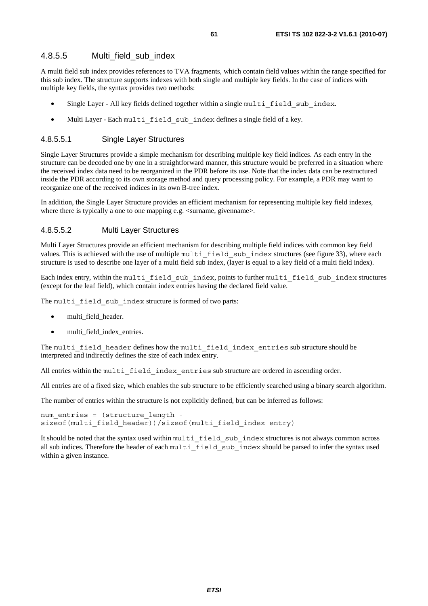### 4.8.5.5 Multi field sub\_index

A multi field sub index provides references to TVA fragments, which contain field values within the range specified for this sub index. The structure supports indexes with both single and multiple key fields. In the case of indices with multiple key fields, the syntax provides two methods:

- Single Layer All key fields defined together within a single multi field sub index.
- Multi Layer Each multi field sub index defines a single field of a key.

### 4.8.5.5.1 Single Layer Structures

Single Layer Structures provide a simple mechanism for describing multiple key field indices. As each entry in the structure can be decoded one by one in a straightforward manner, this structure would be preferred in a situation where the received index data need to be reorganized in the PDR before its use. Note that the index data can be restructured inside the PDR according to its own storage method and query processing policy. For example, a PDR may want to reorganize one of the received indices in its own B-tree index.

In addition, the Single Layer Structure provides an efficient mechanism for representing multiple key field indexes, where there is typically a one to one mapping e.g.  $\leq$ surname, givenname.

#### 4.8.5.5.2 Multi Layer Structures

Multi Layer Structures provide an efficient mechanism for describing multiple field indices with common key field values. This is achieved with the use of multiple multilaged sub-index structures (see figure 33), where each structure is used to describe one layer of a multi field sub index, (layer is equal to a key field of a multi field index).

Each index entry, within the multi\_field\_sub\_index, points to further multi\_field\_sub\_index structures (except for the leaf field), which contain index entries having the declared field value.

The multi field sub index structure is formed of two parts:

- multi\_field\_header.
- multi\_field\_index\_entries.

The multi field header defines how the multi field index entries sub structure should be interpreted and indirectly defines the size of each index entry.

All entries within the multi field index entries sub structure are ordered in ascending order.

All entries are of a fixed size, which enables the sub structure to be efficiently searched using a binary search algorithm.

The number of entries within the structure is not explicitly defined, but can be inferred as follows:

```
num entries = (structure length -
sizeof(multi field header))/sizeof(multi field index entry)
```
It should be noted that the syntax used within multi\_field\_sub\_index structures is not always common across all sub indices. Therefore the header of each multi field sub index should be parsed to infer the syntax used within a given instance.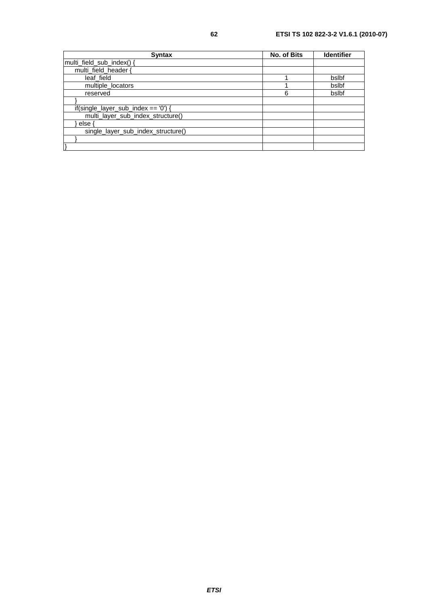| <b>Syntax</b>                        | <b>No. of Bits</b> | <b>Identifier</b> |
|--------------------------------------|--------------------|-------------------|
| multi_field_sub_index() {            |                    |                   |
| multi field header {                 |                    |                   |
| leaf field                           |                    | bslbf             |
| multiple_locators                    |                    | bslbf             |
| reserved                             | 6                  | bslbf             |
|                                      |                    |                   |
| if(single_layer_sub_index == $'0'$ ) |                    |                   |
| multi_layer_sub_index_structure()    |                    |                   |
| else                                 |                    |                   |
| single_layer_sub_index_structure()   |                    |                   |
|                                      |                    |                   |
|                                      |                    |                   |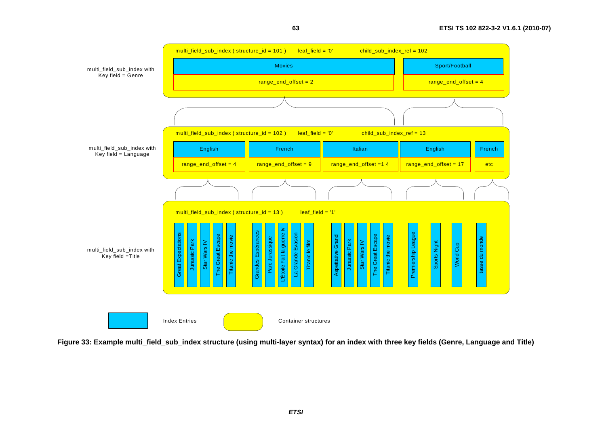

**63**

**Figure 33: Example multi\_field\_sub\_index structure (using multi-layer syntax) for an index with three key fields (Genre, Language and Title)**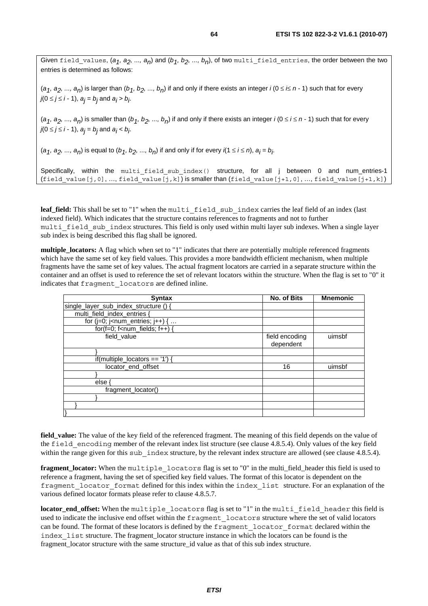Given field\_values,  $(a_1, a_2, ..., a_n)$  and  $(b_1, b_2, ..., b_n)$ , of two multi\_field entries, the order between the two entries is determined as follows:

 $(a_1, a_2, ..., a_n)$  is larger than  $(b_1, b_2, ..., b_n)$  if and only if there exists an integer *i*  $(0 \le i \le n - 1)$  such that for every *j*(0 ≤ *j* ≤ *i* − 1), *a<sub>j</sub>* = *b<sub>j</sub>* and *a<sub>j</sub>* > *b<sub>j</sub>.* 

 $(a_1, a_2, ..., a_n)$  is smaller than  $(b_1, b_2, ..., b_n)$  if and only if there exists an integer *i*  $(0 \le i \le n - 1)$  such that for every *j*(0 ≤ *j* ≤ *i* − 1), *a<sub>j</sub>* = *b<sub>j</sub>* and *a<sub>j</sub>* < *b<sub>j</sub>*.

 $(a_1, a_2, ..., a_n)$  is equal to  $(b_1, b_2, ..., b_n)$  if and only if for every *i*(1 ≤ *i* ≤ *n*),  $a_j$  =  $b_j$ .

Specifically, within the multi\_field\_sub\_index() structure, for all j between 0 and num\_entries-1 (field value[j,0], …, field value[j,k]) is smaller than (field value[j+1,0], …, field value[j+1,k])

leaf\_field: This shall be set to "1" when the multi field sub index carries the leaf field of an index (last indexed field). Which indicates that the structure contains references to fragments and not to further multi field sub index structures. This field is only used within multi layer sub indexes. When a single layer sub index is being described this flag shall be ignored.

**multiple** locators: A flag which when set to "1" indicates that there are potentially multiple referenced fragments which have the same set of key field values. This provides a more bandwidth efficient mechanism, when multiple fragments have the same set of key values. The actual fragment locators are carried in a separate structure within the container and an offset is used to reference the set of relevant locators within the structure. When the flag is set to "0" it indicates that fragment\_locators are defined inline.

| <b>Syntax</b>                                                   | No. of Bits                 | <b>Mnemonic</b> |
|-----------------------------------------------------------------|-----------------------------|-----------------|
| single_layer_sub_index_structure () {                           |                             |                 |
| multi_field_index_entries {                                     |                             |                 |
| for ( $j=0$ ; $j$ <num_entries; <math="">j++) { </num_entries;> |                             |                 |
| for(f=0; f <num_fields; <math="">f++) {</num_fields;>           |                             |                 |
| field_value                                                     | field encoding<br>dependent | uimsbf          |
|                                                                 |                             |                 |
| if(multiple_locators == $'1'$ ) {                               |                             |                 |
| locator end offset                                              | 16                          | uimsbf          |
|                                                                 |                             |                 |
| else                                                            |                             |                 |
| fragment locator()                                              |                             |                 |
|                                                                 |                             |                 |
|                                                                 |                             |                 |
|                                                                 |                             |                 |

**field\_value:** The value of the key field of the referenced fragment. The meaning of this field depends on the value of the field encoding member of the relevant index list structure (see clause 4.8.5.4). Only values of the key field within the range given for this sub index structure, by the relevant index structure are allowed (see clause 4.8.5.4).

**fragment\_locator:** When the multiple\_locators flag is set to "0" in the multi\_field\_header this field is used to reference a fragment, having the set of specified key field values. The format of this locator is dependent on the fragment\_locator\_format defined for this index within the index\_list structure. For an explanation of the various defined locator formats please refer to clause 4.8.5.7.

**locator\_end\_offset:** When the multiple\_locators flag is set to "1" in the multi\_field\_header this field is used to indicate the inclusive end offset within the fragment\_locators structure where the set of valid locators can be found. The format of these locators is defined by the fragment locator format declared within the index\_list structure. The fragment\_locator structure instance in which the locators can be found is the fragment\_locator structure with the same structure\_id value as that of this sub index structure.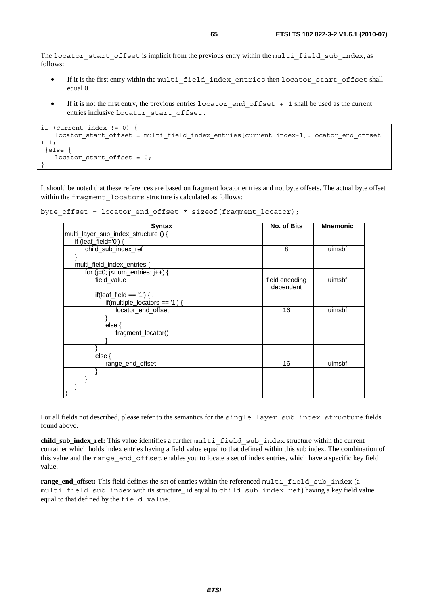The locator start offset is implicit from the previous entry within the multi field sub index, as follows:

- If it is the first entry within the multi\_field\_index\_entries then locator\_start\_offset shall equal 0.
- If it is not the first entry, the previous entries locator end offset + 1 shall be used as the current entries inclusive locator\_start\_offset.

```
if (current index != 0) { 
   locator start offset = multi field index entries[current index-1].locator end offset
+ 1; 
  }else { 
   locator start offset = 0;}
```
It should be noted that these references are based on fragment locator entries and not byte offsets. The actual byte offset within the fragment locators structure is calculated as follows:

```
byte offset = locator end offset * sizeof(fragment locator);
```

| <b>Syntax</b>                                                   | <b>No. of Bits</b>          | <b>Mnemonic</b> |
|-----------------------------------------------------------------|-----------------------------|-----------------|
| multi_layer_sub_index_structure ()                              |                             |                 |
| if (leaf_field='0') {                                           |                             |                 |
| child_sub_index_ref                                             | 8                           | uimsbf          |
|                                                                 |                             |                 |
| multi_field_index_entries {                                     |                             |                 |
| for ( $j=0$ ; $j$ <num_entries; <math="">j++) { </num_entries;> |                             |                 |
| field_value                                                     | field encoding<br>dependent | uimsbf          |
| if(leaf_field == '1') {                                         |                             |                 |
| if(multiple_locators == $'1'$ ) {                               |                             |                 |
| locator_end_offset                                              | 16                          | uimsbf          |
|                                                                 |                             |                 |
| else (                                                          |                             |                 |
| fragment_locator()                                              |                             |                 |
|                                                                 |                             |                 |
|                                                                 |                             |                 |
| else                                                            |                             |                 |
| range end offset                                                | 16                          | uimsbf          |
|                                                                 |                             |                 |
|                                                                 |                             |                 |
|                                                                 |                             |                 |
|                                                                 |                             |                 |

For all fields not described, please refer to the semantics for the single\_layer\_sub\_index\_structure fields found above.

**child\_sub\_index\_ref:** This value identifies a further multi\_field\_sub\_index structure within the current container which holds index entries having a field value equal to that defined within this sub index. The combination of this value and the range\_end\_offset enables you to locate a set of index entries, which have a specific key field value.

**range\_end\_offset:** This field defines the set of entries within the referenced multi\_field\_sub\_index (a multi field sub index with its structure\_ id equal to child sub index ref) having a key field value equal to that defined by the field\_value.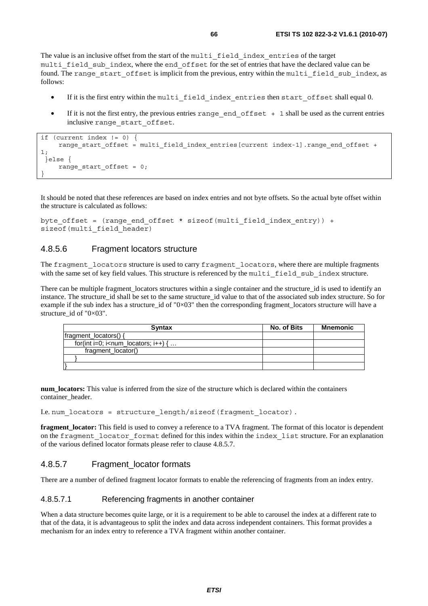The value is an inclusive offset from the start of the multi\_field\_index\_entries of the target multi field sub index, where the end offset for the set of entries that have the declared value can be found. The range start offset is implicit from the previous, entry within the multi field sub index, as follows:

- If it is the first entry within the multi field index entries then start offset shall equal 0.
- If it is not the first entry, the previous entries range end  $offset + 1$  shall be used as the current entries inclusive range\_start\_offset.

```
if (current index != 0) { 
    range start offset = multi field index entries[current index-1].range end offset +
1; 
  }else { 
     range_start_offset = 0; 
}
```
It should be noted that these references are based on index entries and not byte offsets. So the actual byte offset within the structure is calculated as follows:

```
byte_offset = (range_end_offset * sizeof(multi_field_index_entry)) + 
sizeof(multi field header)
```
## 4.8.5.6 Fragment locators structure

The fragment locators structure is used to carry fragment locators, where there are multiple fragments with the same set of key field values. This structure is referenced by the multi\_field\_sub\_index structure.

There can be multiple fragment locators structures within a single container and the structure id is used to identify an instance. The structure id shall be set to the same structure id value to that of the associated sub index structure. So for example if the sub index has a structure id of "0 $\times$ 03" then the corresponding fragment locators structure will have a structure id of " $0\times03$ ".

| <b>Syntax</b>                                                    | No. of Bits | <b>Mnemonic</b> |
|------------------------------------------------------------------|-------------|-----------------|
| fragment_locators() {                                            |             |                 |
| for(int i=0; i <num <math="" i++)="" locators;="">\{ \dots</num> |             |                 |
| fragment locator()                                               |             |                 |
|                                                                  |             |                 |
|                                                                  |             |                 |

**num\_locators:** This value is inferred from the size of the structure which is declared within the containers container\_header.

I.e. num\_locators = structure\_length/sizeof(fragment\_locator).

**fragment\_locator:** This field is used to convey a reference to a TVA fragment. The format of this locator is dependent on the fragment locator format defined for this index within the index list structure. For an explanation of the various defined locator formats please refer to clause 4.8.5.7.

### 4.8.5.7 Fragment locator formats

There are a number of defined fragment locator formats to enable the referencing of fragments from an index entry.

#### 4.8.5.7.1 Referencing fragments in another container

When a data structure becomes quite large, or it is a requirement to be able to carousel the index at a different rate to that of the data, it is advantageous to split the index and data across independent containers. This format provides a mechanism for an index entry to reference a TVA fragment within another container.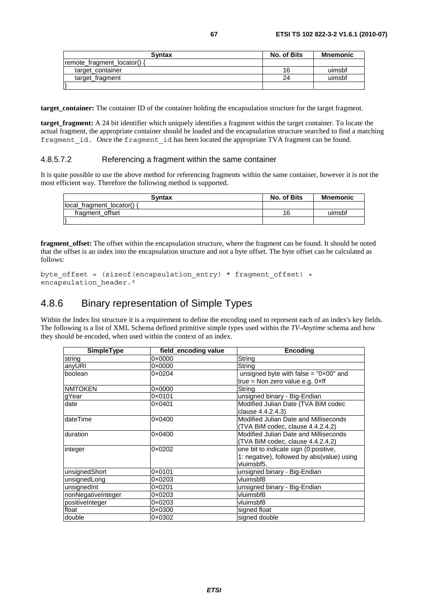| <b>Syntax</b>                   | No. of Bits | Mnemonic |
|---------------------------------|-------------|----------|
| $ $ remote fragment locator() { |             |          |
| target container                | 16          | uimsbf   |
| target fragment                 | 24          | uimsbf   |
|                                 |             |          |

**target\_container:** The container ID of the container holding the encapsulation structure for the target fragment.

**target fragment:** A 24 bit identifier which uniquely identifies a fragment within the target container. To locate the actual fragment, the appropriate container should be loaded and the encapsulation structure searched to find a matching fragment id. Once the fragment id has been located the appropriate TVA fragment can be found.

#### 4.8.5.7.2 Referencing a fragment within the same container

It is quite possible to use the above method for referencing fragments within the same container, however it is not the most efficient way. Therefore the following method is supported.

| <b>Syntax</b>            | No. of Bits | <b>Mnemonic</b> |
|--------------------------|-------------|-----------------|
| local fragment locator() |             |                 |
| fragment offset          | 16          | uimsbf          |
|                          |             |                 |

**fragment\_offset:** The offset within the encapsulation structure, where the fragment can be found. It should be noted that the offset is an index into the encapsulation structure and not a byte offset. The byte offset can be calculated as follows:

```
byte offset = (sizeof(encapsulation entry) * fragment offset) +
encapsulation header.<sup>2</sup>
```
# 4.8.6 Binary representation of Simple Types

Within the Index list structure it is a requirement to define the encoding used to represent each of an index's key fields. The following is a list of XML Schema defined primitive simple types used within the *TV-Anytime* schema and how they should be encoded, when used within the context of an index.

| <b>SimpleType</b>  | field_encoding value | <b>Encoding</b>                                |
|--------------------|----------------------|------------------------------------------------|
| string             | $0 \times 0000$      | String                                         |
| anyURI             | $0 \times 0000$      | String                                         |
| boolean            | $0 \times 0204$      | unsigned byte with false = $"0 \times 00"$ and |
|                    |                      | true = Non zero value e.g. 0 $xf$              |
| <b>NMTOKEN</b>     | $0 \times 0000$      | String                                         |
| gYear              | 0×0101               | unsigned binary - Big-Endian                   |
| date               | $0 \times 0401$      | Modified Julian Date (TVA BiM codec            |
|                    |                      | clause 4.4.2.4.3)                              |
| <b>dateTime</b>    | $0 \times 0400$      | Modified Julian Date and Milliseconds          |
|                    |                      | (TVA BiM codec, clause 4.4.2.4.2)              |
| duration           | $0 \times 0400$      | Modified Julian Date and Milliseconds          |
|                    |                      | (TVA BiM codec, clause 4.4.2.4.2)              |
| integer            | 0×0202               | one bit to indicate sign (0:positive,          |
|                    |                      | 1: negative), followed by abs(value) using     |
|                    |                      | vluimsbf5.                                     |
| unsignedShort      | 0×0101               | unsigned binary - Big-Endian                   |
| unsignedLong       | $0 \times 0203$      | vluimsbf8                                      |
| unsignedInt        | $0 \times 0201$      | unsigned binary - Big-Endian                   |
| nonNegativeInteger | $0 \times 0203$      | vluimsbf8                                      |
| positiveInteger    | $0 \times 0203$      | vluimsbf8                                      |
| float              | 0×0300               | signed float                                   |
| double             | $0 \times 0302$      | signed double                                  |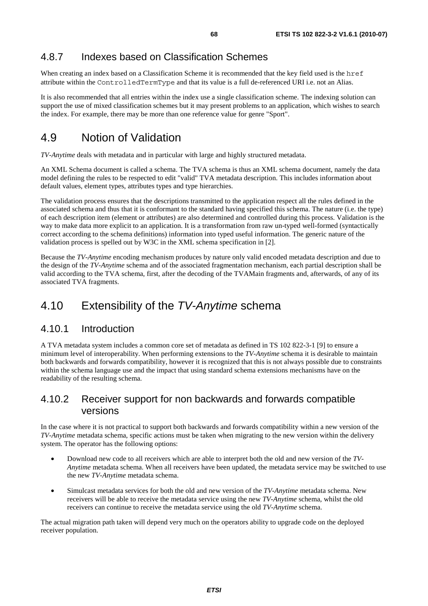# 4.8.7 Indexes based on Classification Schemes

When creating an index based on a Classification Scheme it is recommended that the key field used is the href attribute within the ControlledTermType and that its value is a full de-referenced URI i.e. not an Alias.

It is also recommended that all entries within the index use a single classification scheme. The indexing solution can support the use of mixed classification schemes but it may present problems to an application, which wishes to search the index. For example, there may be more than one reference value for genre "Sport".

# 4.9 Notion of Validation

*TV-Anytime* deals with metadata and in particular with large and highly structured metadata.

An XML Schema document is called a schema. The TVA schema is thus an XML schema document, namely the data model defining the rules to be respected to edit "valid" TVA metadata description. This includes information about default values, element types, attributes types and type hierarchies.

The validation process ensures that the descriptions transmitted to the application respect all the rules defined in the associated schema and thus that it is conformant to the standard having specified this schema. The nature (i.e. the type) of each description item (element or attributes) are also determined and controlled during this process. Validation is the way to make data more explicit to an application. It is a transformation from raw un-typed well-formed (syntactically correct according to the schema definitions) information into typed useful information. The generic nature of the validation process is spelled out by W3C in the XML schema specification in [2].

Because the *TV-Anytime* encoding mechanism produces by nature only valid encoded metadata description and due to the design of the *TV-Anytime* schema and of the associated fragmentation mechanism, each partial description shall be valid according to the TVA schema, first, after the decoding of the TVAMain fragments and, afterwards, of any of its associated TVA fragments.

# 4.10 Extensibility of the *TV-Anytime* schema

## 4.10.1 Introduction

A TVA metadata system includes a common core set of metadata as defined in TS 102 822-3-1 [9] to ensure a minimum level of interoperability. When performing extensions to the *TV-Anytime* schema it is desirable to maintain both backwards and forwards compatibility, however it is recognized that this is not always possible due to constraints within the schema language use and the impact that using standard schema extensions mechanisms have on the readability of the resulting schema.

# 4.10.2 Receiver support for non backwards and forwards compatible versions

In the case where it is not practical to support both backwards and forwards compatibility within a new version of the *TV-Anytime* metadata schema, specific actions must be taken when migrating to the new version within the delivery system. The operator has the following options:

- Download new code to all receivers which are able to interpret both the old and new version of the *TV-Anytime* metadata schema. When all receivers have been updated, the metadata service may be switched to use the new *TV-Anytime* metadata schema.
- Simulcast metadata services for both the old and new version of the *TV-Anytime* metadata schema. New receivers will be able to receive the metadata service using the new *TV-Anytime* schema, whilst the old receivers can continue to receive the metadata service using the old *TV-Anytime* schema.

The actual migration path taken will depend very much on the operators ability to upgrade code on the deployed receiver population.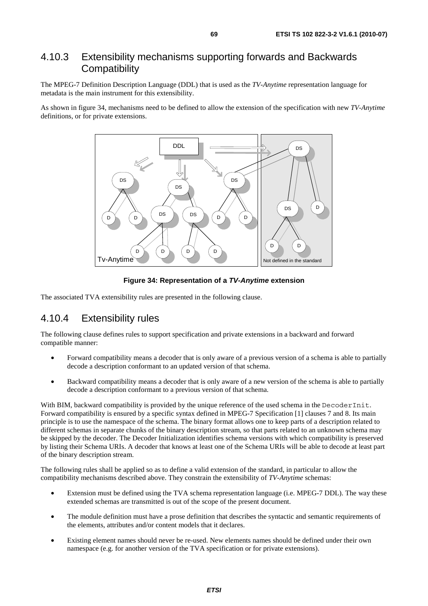# 4.10.3 Extensibility mechanisms supporting forwards and Backwards **Compatibility**

The MPEG-7 Definition Description Language (DDL) that is used as the *TV-Anytime* representation language for metadata is the main instrument for this extensibility.

As shown in figure 34, mechanisms need to be defined to allow the extension of the specification with new *TV-Anytime* definitions, or for private extensions.



**Figure 34: Representation of a** *TV-Anytime* **extension** 

The associated TVA extensibility rules are presented in the following clause.

# 4.10.4 Extensibility rules

The following clause defines rules to support specification and private extensions in a backward and forward compatible manner:

- Forward compatibility means a decoder that is only aware of a previous version of a schema is able to partially decode a description conformant to an updated version of that schema.
- Backward compatibility means a decoder that is only aware of a new version of the schema is able to partially decode a description conformant to a previous version of that schema.

With BIM, backward compatibility is provided by the unique reference of the used schema in the DecoderInit. Forward compatibility is ensured by a specific syntax defined in MPEG-7 Specification [1] clauses 7 and 8. Its main principle is to use the namespace of the schema. The binary format allows one to keep parts of a description related to different schemas in separate chunks of the binary description stream, so that parts related to an unknown schema may be skipped by the decoder. The Decoder Initialization identifies schema versions with which compatibility is preserved by listing their Schema URIs. A decoder that knows at least one of the Schema URIs will be able to decode at least part of the binary description stream.

The following rules shall be applied so as to define a valid extension of the standard, in particular to allow the compatibility mechanisms described above. They constrain the extensibility of *TV-Anytime* schemas:

- Extension must be defined using the TVA schema representation language (i.e. MPEG-7 DDL). The way these extended schemas are transmitted is out of the scope of the present document.
- The module definition must have a prose definition that describes the syntactic and semantic requirements of the elements, attributes and/or content models that it declares.
- Existing element names should never be re-used. New elements names should be defined under their own namespace (e.g. for another version of the TVA specification or for private extensions).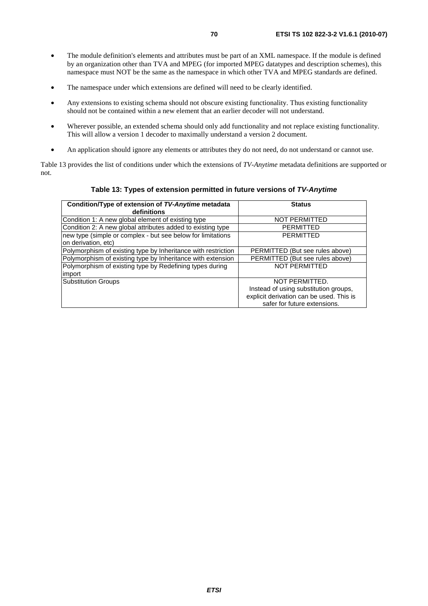- The module definition's elements and attributes must be part of an XML namespace. If the module is defined by an organization other than TVA and MPEG (for imported MPEG datatypes and description schemes), this namespace must NOT be the same as the namespace in which other TVA and MPEG standards are defined.
- The namespace under which extensions are defined will need to be clearly identified.
- Any extensions to existing schema should not obscure existing functionality. Thus existing functionality should not be contained within a new element that an earlier decoder will not understand.
- Wherever possible, an extended schema should only add functionality and not replace existing functionality. This will allow a version 1 decoder to maximally understand a version 2 document.
- An application should ignore any elements or attributes they do not need, do not understand or cannot use.

Table 13 provides the list of conditions under which the extensions of *TV-Anytime* metadata definitions are supported or not.

#### **Table 13: Types of extension permitted in future versions of** *TV-Anytime*

| Condition/Type of extension of TV-Anytime metadata<br>definitions                  | <b>Status</b>                            |
|------------------------------------------------------------------------------------|------------------------------------------|
| Condition 1: A new global element of existing type                                 | <b>NOT PERMITTED</b>                     |
| Condition 2: A new global attributes added to existing type                        | <b>PERMITTED</b>                         |
| new type (simple or complex - but see below for limitations<br>on derivation, etc) | <b>PERMITTED</b>                         |
| Polymorphism of existing type by Inheritance with restriction                      | PERMITTED (But see rules above)          |
| Polymorphism of existing type by Inheritance with extension                        | PERMITTED (But see rules above)          |
| Polymorphism of existing type by Redefining types during<br>import                 | <b>NOT PERMITTED</b>                     |
| Substitution Groups                                                                | NOT PERMITTED.                           |
|                                                                                    | Instead of using substitution groups,    |
|                                                                                    | explicit derivation can be used. This is |
|                                                                                    | safer for future extensions.             |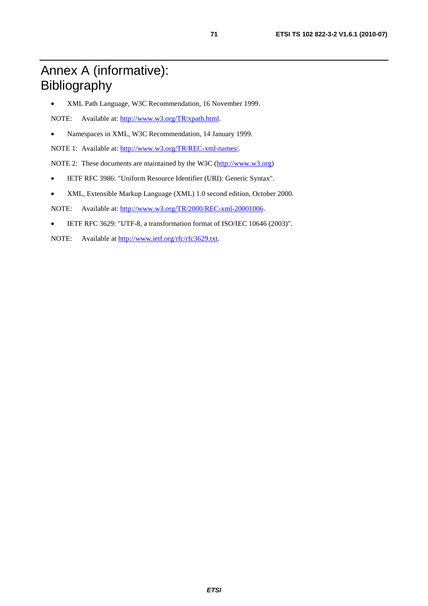# Annex A (informative): Bibliography

• XML Path Language, W3C Recommendation, 16 November 1999.

NOTE: Available at: [http://www.w3.org/TR/xpath.html.](http://www.w3.org/TR/xpath.html)

• Namespaces in XML, W3C Recommendation, 14 January 1999.

NOTE 1: Available at: [http://www.w3.org/TR/REC-xml-names/.](http://www.w3.org/TR/REC-xml-names/)

NOTE 2: These documents are maintained by the W3C [\(http://www.w3.org](http://www.w3.org/))

- IETF RFC 3986: "Uniform Resource Identifier (URI): Generic Syntax".
- XML, Extensible Markup Language (XML) 1.0 second edition, October 2000.

NOTE: Available at: [http://www.w3.org/TR/2000/REC-xml-20001006.](http://www.w3.org/TR/2000/REC-xml-20001006)

- IETF RFC 3629: "UTF-8, a transformation format of ISO/IEC 10646 (2003)".
- NOTE: Available at [http://www.ietf.org/rfc/rfc3629.txt.](http://www.ietf.org/rfc/rfc3629.txt)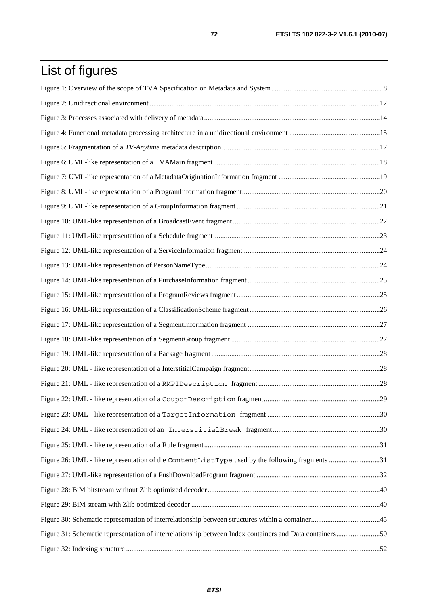# List of figures

| Figure 26: UML - like representation of the ContentListType used by the following fragments 31          |  |
|---------------------------------------------------------------------------------------------------------|--|
|                                                                                                         |  |
|                                                                                                         |  |
|                                                                                                         |  |
|                                                                                                         |  |
| Figure 31: Schematic representation of interrelationship between Index containers and Data containers50 |  |
|                                                                                                         |  |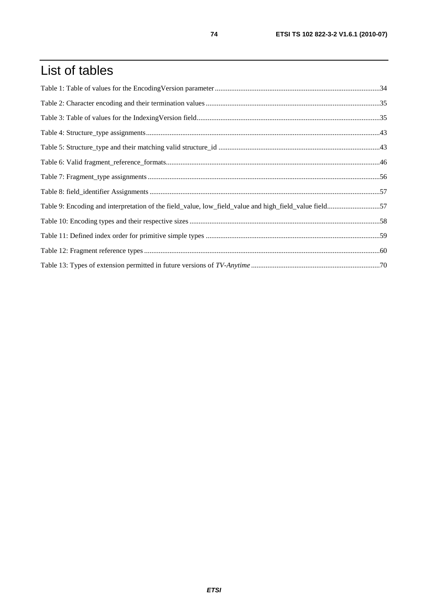## List of tables

| Table 9: Encoding and interpretation of the field_value, low_field_value and high_field_value field57 |  |
|-------------------------------------------------------------------------------------------------------|--|
|                                                                                                       |  |
|                                                                                                       |  |
|                                                                                                       |  |
|                                                                                                       |  |